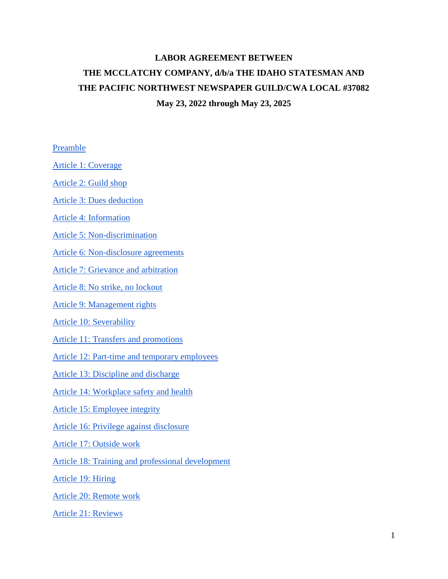# **LABOR AGREEMENT BETWEEN THE MCCLATCHY COMPANY, d/b/a THE IDAHO STATESMAN AND THE PACIFIC NORTHWEST NEWSPAPER GUILD/CWA LOCAL #37082 May 23, 2022 through May 23, 2025**

# [Preamble](#page-2-0)

[Article 1: Coverage](#page-2-1)

[Article 2: Guild shop](#page-3-0)

[Article 3: Dues deduction](#page-4-0)

[Article 4: Information](#page-5-0)

[Article 5: Non-discrimination](#page-6-0)

[Article 6: Non-disclosure agreements](#page-6-1)

[Article 7: Grievance and arbitration](#page-6-2)

[Article 8: No strike, no lockout](#page-9-0)

[Article 9: Management rights](#page-10-0)

[Article 10: Severability](#page-11-0)

[Article 11: Transfers and promotions](#page-11-1)

Article 12: Part-time [and temporary employees](#page-13-0)

[Article 13: Discipline and discharge](#page-15-0)

[Article 14: Workplace safety and health](#page-15-1)

[Article 15: Employee integrity](#page-17-0)

[Article 16: Privilege against disclosure](#page-18-0)

[Article 17: Outside work](#page-19-0)

[Article 18: Training and professional development](#page-21-0)

[Article 19: Hiring](#page-22-0)

[Article 20: Remote work](#page-23-0)

[Article 21: Reviews](#page-24-0)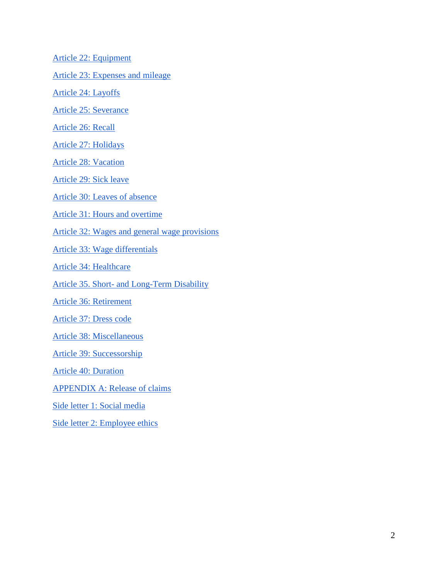[Article 22: Equipment](#page-25-0)

[Article 23: Expenses and mileage](#page-26-0)

[Article 24: Layoffs](#page-27-0)

[Article 25: Severance](#page-29-0)

[Article 26: Recall](#page-30-0)

[Article 27: Holidays](#page-31-0)

[Article 28: Vacation](#page-33-0)

[Article 29: Sick leave](#page-35-0)

[Article 30: Leaves of absence](#page-36-0)

[Article 31: Hours and overtime](#page-42-0)

[Article 32: Wages and general wage provisions](#page-44-0)

[Article 33: Wage differentials](#page-46-0)

[Article 34: Healthcare](#page-47-0)

Article 35. Short- [and Long-Term Disability](#page-48-0)

[Article 36: Retirement](#page-49-0)

[Article 37: Dress code](#page-49-1)

[Article 38: Miscellaneous](#page-50-0)

[Article 39: Successorship](#page-51-0)

[Article 40: Duration](#page-52-0)

[APPENDIX A: Release of claims](#page-53-0)

[Side letter 1: Social media](#page-58-0)

[Side letter 2: Employee ethics](#page-60-0)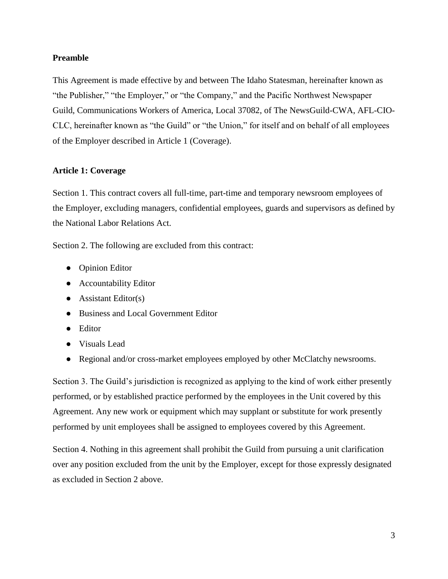# <span id="page-2-2"></span><span id="page-2-0"></span>**Preamble**

This Agreement is made effective by and between The Idaho Statesman, hereinafter known as "the Publisher," "the Employer," or "the Company," and the Pacific Northwest Newspaper Guild, Communications Workers of America, Local 37082, of The NewsGuild-CWA, AFL-CIO-CLC, hereinafter known as "the Guild" or "the Union," for itself and on behalf of all employees of the Employer described in Article 1 (Coverage).

# <span id="page-2-1"></span>**Article 1: Coverage**

Section 1. This contract covers all full-time, part-time and temporary newsroom employees of the Employer, excluding managers, confidential employees, guards and supervisors as defined by the National Labor Relations Act.

Section 2. The following are excluded from this contract:

- Opinion Editor
- Accountability Editor
- $\bullet$  Assistant Editor(s)
- Business and Local Government Editor
- Editor
- Visuals Lead
- Regional and/or cross-market employees employed by other McClatchy newsrooms.

Section 3. The Guild's jurisdiction is recognized as applying to the kind of work either presently performed, or by established practice performed by the employees in the Unit covered by this Agreement. Any new work or equipment which may supplant or substitute for work presently performed by unit employees shall be assigned to employees covered by this Agreement.

Section 4. Nothing in this agreement shall prohibit the Guild from pursuing a unit clarification over any position excluded from the unit by the Employer, except for those expressly designated as excluded in Section 2 above.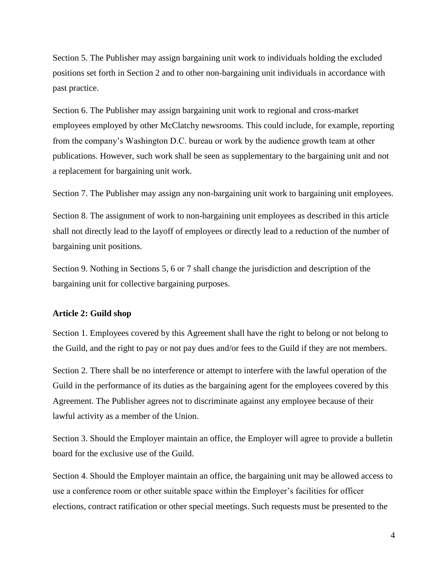<span id="page-3-1"></span>Section 5. The Publisher may assign bargaining unit work to individuals holding the excluded positions set forth in Section 2 and to other non-bargaining unit individuals in accordance with past practice.

Section 6. The Publisher may assign bargaining unit work to regional and cross-market employees employed by other McClatchy newsrooms. This could include, for example, reporting from the company's Washington D.C. bureau or work by the audience growth team at other publications. However, such work shall be seen as supplementary to the bargaining unit and not a replacement for bargaining unit work.

Section 7. The Publisher may assign any non-bargaining unit work to bargaining unit employees.

Section 8. The assignment of work to non-bargaining unit employees as described in this article shall not directly lead to the layoff of employees or directly lead to a reduction of the number of bargaining unit positions.

Section 9. Nothing in Sections 5, 6 or 7 shall change the jurisdiction and description of the bargaining unit for collective bargaining purposes.

## <span id="page-3-0"></span>**Article 2: Guild shop**

Section 1. Employees covered by this Agreement shall have the right to belong or not belong to the Guild, and the right to pay or not pay dues and/or fees to the Guild if they are not members.

Section 2. There shall be no interference or attempt to interfere with the lawful operation of the Guild in the performance of its duties as the bargaining agent for the employees covered by this Agreement. The Publisher agrees not to discriminate against any employee because of their lawful activity as a member of the Union.

Section 3. Should the Employer maintain an office, the Employer will agree to provide a bulletin board for the exclusive use of the Guild.

Section 4. Should the Employer maintain an office, the bargaining unit may be allowed access to use a conference room or other suitable space within the Employer's facilities for officer elections, contract ratification or other special meetings. Such requests must be presented to the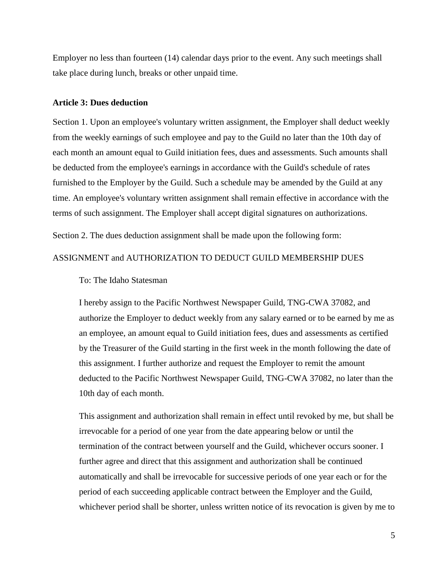<span id="page-4-1"></span>Employer no less than fourteen (14) calendar days prior to the event. Any such meetings shall take place during lunch, breaks or other unpaid time.

#### <span id="page-4-0"></span>**Article 3: Dues deduction**

Section 1. Upon an employee's voluntary written assignment, the Employer shall deduct weekly from the weekly earnings of such employee and pay to the Guild no later than the 10th day of each month an amount equal to Guild initiation fees, dues and assessments. Such amounts shall be deducted from the employee's earnings in accordance with the Guild's schedule of rates furnished to the Employer by the Guild. Such a schedule may be amended by the Guild at any time. An employee's voluntary written assignment shall remain effective in accordance with the terms of such assignment. The Employer shall accept digital signatures on authorizations.

Section 2. The dues deduction assignment shall be made upon the following form:

# ASSIGNMENT and AUTHORIZATION TO DEDUCT GUILD MEMBERSHIP DUES

#### To: The Idaho Statesman

I hereby assign to the Pacific Northwest Newspaper Guild, TNG-CWA 37082, and authorize the Employer to deduct weekly from any salary earned or to be earned by me as an employee, an amount equal to Guild initiation fees, dues and assessments as certified by the Treasurer of the Guild starting in the first week in the month following the date of this assignment. I further authorize and request the Employer to remit the amount deducted to the Pacific Northwest Newspaper Guild, TNG-CWA 37082, no later than the 10th day of each month.

This assignment and authorization shall remain in effect until revoked by me, but shall be irrevocable for a period of one year from the date appearing below or until the termination of the contract between yourself and the Guild, whichever occurs sooner. I further agree and direct that this assignment and authorization shall be continued automatically and shall be irrevocable for successive periods of one year each or for the period of each succeeding applicable contract between the Employer and the Guild, whichever period shall be shorter, unless written notice of its revocation is given by me to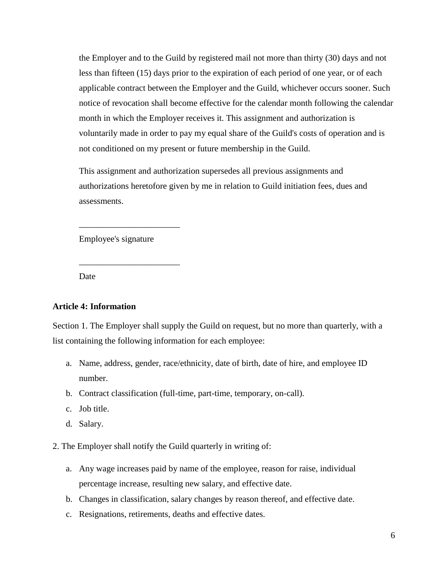<span id="page-5-1"></span>the Employer and to the Guild by registered mail not more than thirty (30) days and not less than fifteen (15) days prior to the expiration of each period of one year, or of each applicable contract between the Employer and the Guild, whichever occurs sooner. Such notice of revocation shall become effective for the calendar month following the calendar month in which the Employer receives it. This assignment and authorization is voluntarily made in order to pay my equal share of the Guild's costs of operation and is not conditioned on my present or future membership in the Guild.

This assignment and authorization supersedes all previous assignments and authorizations heretofore given by me in relation to Guild initiation fees, dues and assessments.

Employee's signature

\_\_\_\_\_\_\_\_\_\_\_\_\_\_\_\_\_\_\_\_\_\_\_

\_\_\_\_\_\_\_\_\_\_\_\_\_\_\_\_\_\_\_\_\_\_\_

Date

#### <span id="page-5-0"></span>**Article 4: Information**

Section 1. The Employer shall supply the Guild on request, but no more than quarterly, with a list containing the following information for each employee:

- a. Name, address, gender, race/ethnicity, date of birth, date of hire, and employee ID number.
- b. Contract classification (full-time, part-time, temporary, on-call).
- c. Job title.
- d. Salary.
- 2. The Employer shall notify the Guild quarterly in writing of:
	- a. Any wage increases paid by name of the employee, reason for raise, individual percentage increase, resulting new salary, and effective date.
	- b. Changes in classification, salary changes by reason thereof, and effective date.
	- c. Resignations, retirements, deaths and effective dates.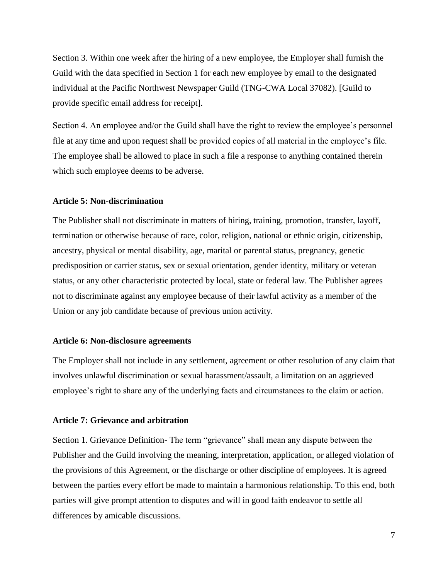<span id="page-6-3"></span>Section 3. Within one week after the hiring of a new employee, the Employer shall furnish the Guild with the data specified in Section 1 for each new employee by email to the designated individual at the Pacific Northwest Newspaper Guild (TNG-CWA Local 37082). [Guild to provide specific email address for receipt].

Section 4. An employee and/or the Guild shall have the right to review the employee's personnel file at any time and upon request shall be provided copies of all material in the employee's file. The employee shall be allowed to place in such a file a response to anything contained therein which such employee deems to be adverse.

#### <span id="page-6-0"></span>**Article 5: Non-discrimination**

The Publisher shall not discriminate in matters of hiring, training, promotion, transfer, layoff, termination or otherwise because of race, color, religion, national or ethnic origin, citizenship, ancestry, physical or mental disability, age, marital or parental status, pregnancy, genetic predisposition or carrier status, sex or sexual orientation, gender identity, military or veteran status, or any other characteristic protected by local, state or federal law. The Publisher agrees not to discriminate against any employee because of their lawful activity as a member of the Union or any job candidate because of previous union activity.

## <span id="page-6-1"></span>**Article 6: Non-disclosure agreements**

The Employer shall not include in any settlement, agreement or other resolution of any claim that involves unlawful discrimination or sexual harassment/assault, a limitation on an aggrieved employee's right to share any of the underlying facts and circumstances to the claim or action.

#### <span id="page-6-2"></span>**Article 7: Grievance and arbitration**

Section 1. Grievance Definition- The term "grievance" shall mean any dispute between the Publisher and the Guild involving the meaning, interpretation, application, or alleged violation of the provisions of this Agreement, or the discharge or other discipline of employees. It is agreed between the parties every effort be made to maintain a harmonious relationship. To this end, both parties will give prompt attention to disputes and will in good faith endeavor to settle all differences by amicable discussions.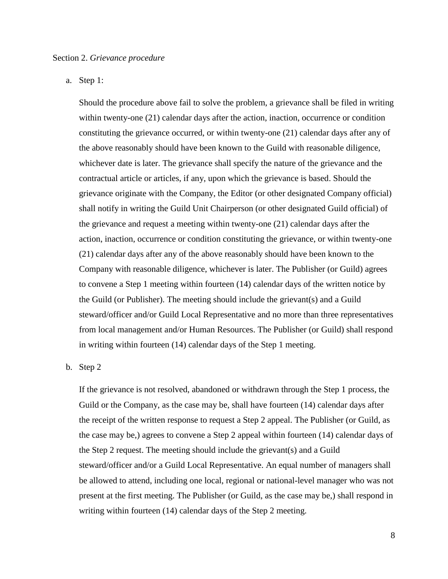a. Step 1:

Should the procedure above fail to solve the problem, a grievance shall be filed in writing within twenty-one (21) calendar days after the action, inaction, occurrence or condition constituting the grievance occurred, or within twenty-one (21) calendar days after any of the above reasonably should have been known to the Guild with reasonable diligence, whichever date is later. The grievance shall specify the nature of the grievance and the contractual article or articles, if any, upon which the grievance is based. Should the grievance originate with the Company, the Editor (or other designated Company official) shall notify in writing the Guild Unit Chairperson (or other designated Guild official) of the grievance and request a meeting within twenty-one (21) calendar days after the action, inaction, occurrence or condition constituting the grievance, or within twenty-one (21) calendar days after any of the above reasonably should have been known to the Company with reasonable diligence, whichever is later. The Publisher (or Guild) agrees to convene a Step 1 meeting within fourteen (14) calendar days of the written notice by the Guild (or Publisher). The meeting should include the grievant(s) and a Guild steward/officer and/or Guild Local Representative and no more than three representatives from local management and/or Human Resources. The Publisher (or Guild) shall respond in writing within fourteen (14) calendar days of the Step 1 meeting.

# b. Step 2

If the grievance is not resolved, abandoned or withdrawn through the Step 1 process, the Guild or the Company, as the case may be, shall have fourteen (14) calendar days after the receipt of the written response to request a Step 2 appeal. The Publisher (or Guild, as the case may be,) agrees to convene a Step 2 appeal within fourteen (14) calendar days of the Step 2 request. The meeting should include the grievant(s) and a Guild steward/officer and/or a Guild Local Representative. An equal number of managers shall be allowed to attend, including one local, regional or national-level manager who was not present at the first meeting. The Publisher (or Guild, as the case may be,) shall respond in writing within fourteen (14) calendar days of the Step 2 meeting.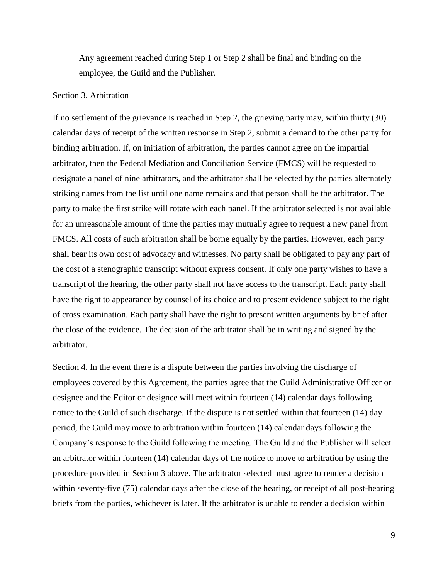Any agreement reached during Step 1 or Step 2 shall be final and binding on the employee, the Guild and the Publisher.

#### Section 3. Arbitration

If no settlement of the grievance is reached in Step 2, the grieving party may, within thirty (30) calendar days of receipt of the written response in Step 2, submit a demand to the other party for binding arbitration. If, on initiation of arbitration, the parties cannot agree on the impartial arbitrator, then the Federal Mediation and Conciliation Service (FMCS) will be requested to designate a panel of nine arbitrators, and the arbitrator shall be selected by the parties alternately striking names from the list until one name remains and that person shall be the arbitrator. The party to make the first strike will rotate with each panel. If the arbitrator selected is not available for an unreasonable amount of time the parties may mutually agree to request a new panel from FMCS. All costs of such arbitration shall be borne equally by the parties. However, each party shall bear its own cost of advocacy and witnesses. No party shall be obligated to pay any part of the cost of a stenographic transcript without express consent. If only one party wishes to have a transcript of the hearing, the other party shall not have access to the transcript. Each party shall have the right to appearance by counsel of its choice and to present evidence subject to the right of cross examination. Each party shall have the right to present written arguments by brief after the close of the evidence. The decision of the arbitrator shall be in writing and signed by the arbitrator.

Section 4. In the event there is a dispute between the parties involving the discharge of employees covered by this Agreement, the parties agree that the Guild Administrative Officer or designee and the Editor or designee will meet within fourteen (14) calendar days following notice to the Guild of such discharge. If the dispute is not settled within that fourteen (14) day period, the Guild may move to arbitration within fourteen (14) calendar days following the Company's response to the Guild following the meeting. The Guild and the Publisher will select an arbitrator within fourteen (14) calendar days of the notice to move to arbitration by using the procedure provided in Section 3 above. The arbitrator selected must agree to render a decision within seventy-five (75) calendar days after the close of the hearing, or receipt of all post-hearing briefs from the parties, whichever is later. If the arbitrator is unable to render a decision within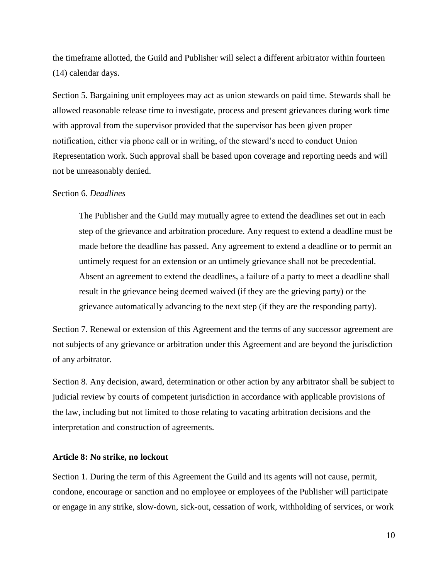<span id="page-9-1"></span>the timeframe allotted, the Guild and Publisher will select a different arbitrator within fourteen (14) calendar days.

Section 5. Bargaining unit employees may act as union stewards on paid time. Stewards shall be allowed reasonable release time to investigate, process and present grievances during work time with approval from the supervisor provided that the supervisor has been given proper notification, either via phone call or in writing, of the steward's need to conduct Union Representation work. Such approval shall be based upon coverage and reporting needs and will not be unreasonably denied.

# Section 6. *Deadlines*

The Publisher and the Guild may mutually agree to extend the deadlines set out in each step of the grievance and arbitration procedure. Any request to extend a deadline must be made before the deadline has passed. Any agreement to extend a deadline or to permit an untimely request for an extension or an untimely grievance shall not be precedential. Absent an agreement to extend the deadlines, a failure of a party to meet a deadline shall result in the grievance being deemed waived (if they are the grieving party) or the grievance automatically advancing to the next step (if they are the responding party).

Section 7. Renewal or extension of this Agreement and the terms of any successor agreement are not subjects of any grievance or arbitration under this Agreement and are beyond the jurisdiction of any arbitrator.

Section 8. Any decision, award, determination or other action by any arbitrator shall be subject to judicial review by courts of competent jurisdiction in accordance with applicable provisions of the law, including but not limited to those relating to vacating arbitration decisions and the interpretation and construction of agreements.

#### <span id="page-9-0"></span>**Article 8: No strike, no lockout**

Section 1. During the term of this Agreement the Guild and its agents will not cause, permit, condone, encourage or sanction and no employee or employees of the Publisher will participate or engage in any strike, slow-down, sick-out, cessation of work, withholding of services, or work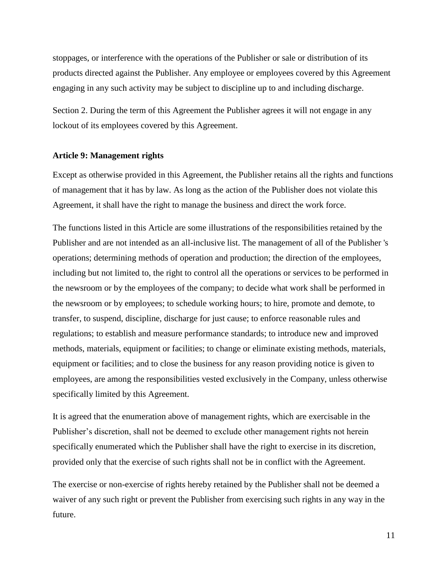<span id="page-10-1"></span>stoppages, or interference with the operations of the Publisher or sale or distribution of its products directed against the Publisher. Any employee or employees covered by this Agreement engaging in any such activity may be subject to discipline up to and including discharge.

Section 2. During the term of this Agreement the Publisher agrees it will not engage in any lockout of its employees covered by this Agreement.

#### <span id="page-10-0"></span>**Article 9: Management rights**

Except as otherwise provided in this Agreement, the Publisher retains all the rights and functions of management that it has by law. As long as the action of the Publisher does not violate this Agreement, it shall have the right to manage the business and direct the work force.

The functions listed in this Article are some illustrations of the responsibilities retained by the Publisher and are not intended as an all-inclusive list. The management of all of the Publisher 's operations; determining methods of operation and production; the direction of the employees, including but not limited to, the right to control all the operations or services to be performed in the newsroom or by the employees of the company; to decide what work shall be performed in the newsroom or by employees; to schedule working hours; to hire, promote and demote, to transfer, to suspend, discipline, discharge for just cause; to enforce reasonable rules and regulations; to establish and measure performance standards; to introduce new and improved methods, materials, equipment or facilities; to change or eliminate existing methods, materials, equipment or facilities; and to close the business for any reason providing notice is given to employees, are among the responsibilities vested exclusively in the Company, unless otherwise specifically limited by this Agreement.

It is agreed that the enumeration above of management rights, which are exercisable in the Publisher's discretion, shall not be deemed to exclude other management rights not herein specifically enumerated which the Publisher shall have the right to exercise in its discretion, provided only that the exercise of such rights shall not be in conflict with the Agreement.

The exercise or non-exercise of rights hereby retained by the Publisher shall not be deemed a waiver of any such right or prevent the Publisher from exercising such rights in any way in the future.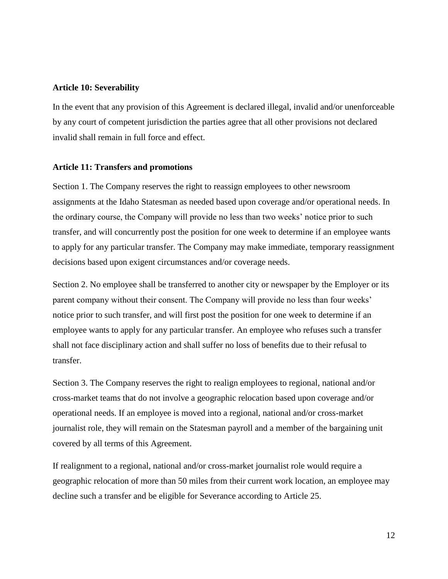#### <span id="page-11-2"></span><span id="page-11-0"></span>**Article 10: Severability**

In the event that any provision of this Agreement is declared illegal, invalid and/or unenforceable by any court of competent jurisdiction the parties agree that all other provisions not declared invalid shall remain in full force and effect.

#### <span id="page-11-1"></span>**Article 11: Transfers and promotions**

Section 1. The Company reserves the right to reassign employees to other newsroom assignments at the Idaho Statesman as needed based upon coverage and/or operational needs. In the ordinary course, the Company will provide no less than two weeks' notice prior to such transfer, and will concurrently post the position for one week to determine if an employee wants to apply for any particular transfer. The Company may make immediate, temporary reassignment decisions based upon exigent circumstances and/or coverage needs.

Section 2. No employee shall be transferred to another city or newspaper by the Employer or its parent company without their consent. The Company will provide no less than four weeks' notice prior to such transfer, and will first post the position for one week to determine if an employee wants to apply for any particular transfer. An employee who refuses such a transfer shall not face disciplinary action and shall suffer no loss of benefits due to their refusal to transfer.

Section 3. The Company reserves the right to realign employees to regional, national and/or cross-market teams that do not involve a geographic relocation based upon coverage and/or operational needs. If an employee is moved into a regional, national and/or cross-market journalist role, they will remain on the Statesman payroll and a member of the bargaining unit covered by all terms of this Agreement.

If realignment to a regional, national and/or cross-market journalist role would require a geographic relocation of more than 50 miles from their current work location, an employee may decline such a transfer and be eligible for Severance according to Article 25.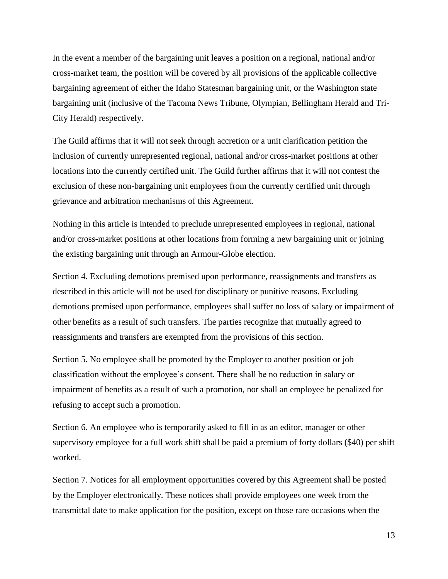In the event a member of the bargaining unit leaves a position on a regional, national and/or cross-market team, the position will be covered by all provisions of the applicable collective bargaining agreement of either the Idaho Statesman bargaining unit, or the Washington state bargaining unit (inclusive of the Tacoma News Tribune, Olympian, Bellingham Herald and Tri-City Herald) respectively.

The Guild affirms that it will not seek through accretion or a unit clarification petition the inclusion of currently unrepresented regional, national and/or cross-market positions at other locations into the currently certified unit. The Guild further affirms that it will not contest the exclusion of these non-bargaining unit employees from the currently certified unit through grievance and arbitration mechanisms of this Agreement.

Nothing in this article is intended to preclude unrepresented employees in regional, national and/or cross-market positions at other locations from forming a new bargaining unit or joining the existing bargaining unit through an Armour-Globe election.

Section 4. Excluding demotions premised upon performance, reassignments and transfers as described in this article will not be used for disciplinary or punitive reasons. Excluding demotions premised upon performance, employees shall suffer no loss of salary or impairment of other benefits as a result of such transfers. The parties recognize that mutually agreed to reassignments and transfers are exempted from the provisions of this section.

Section 5. No employee shall be promoted by the Employer to another position or job classification without the employee's consent. There shall be no reduction in salary or impairment of benefits as a result of such a promotion, nor shall an employee be penalized for refusing to accept such a promotion.

Section 6. An employee who is temporarily asked to fill in as an editor, manager or other supervisory employee for a full work shift shall be paid a premium of forty dollars (\$40) per shift worked.

Section 7. Notices for all employment opportunities covered by this Agreement shall be posted by the Employer electronically. These notices shall provide employees one week from the transmittal date to make application for the position, except on those rare occasions when the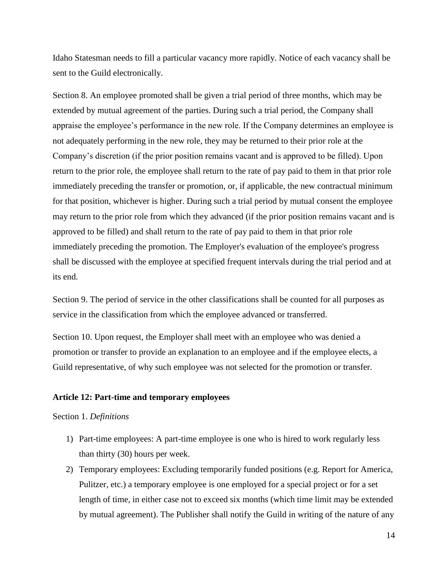<span id="page-13-1"></span>Idaho Statesman needs to fill a particular vacancy more rapidly. Notice of each vacancy shall be sent to the Guild electronically.

Section 8. An employee promoted shall be given a trial period of three months, which may be extended by mutual agreement of the parties. During such a trial period, the Company shall appraise the employee's performance in the new role. If the Company determines an employee is not adequately performing in the new role, they may be returned to their prior role at the Company's discretion (if the prior position remains vacant and is approved to be filled). Upon return to the prior role, the employee shall return to the rate of pay paid to them in that prior role immediately preceding the transfer or promotion, or, if applicable, the new contractual minimum for that position, whichever is higher. During such a trial period by mutual consent the employee may return to the prior role from which they advanced (if the prior position remains vacant and is approved to be filled) and shall return to the rate of pay paid to them in that prior role immediately preceding the promotion. The Employer's evaluation of the employee's progress shall be discussed with the employee at specified frequent intervals during the trial period and at its end.

Section 9. The period of service in the other classifications shall be counted for all purposes as service in the classification from which the employee advanced or transferred.

Section 10. Upon request, the Employer shall meet with an employee who was denied a promotion or transfer to provide an explanation to an employee and if the employee elects, a Guild representative, of why such employee was not selected for the promotion or transfer.

## <span id="page-13-0"></span>**Article 12: Part-time and temporary employees**

#### Section 1. *Definitions*

- 1) Part-time employees: A part-time employee is one who is hired to work regularly less than thirty (30) hours per week.
- 2) Temporary employees: Excluding temporarily funded positions (e.g. Report for America, Pulitzer, etc.) a temporary employee is one employed for a special project or for a set length of time, in either case not to exceed six months (which time limit may be extended by mutual agreement). The Publisher shall notify the Guild in writing of the nature of any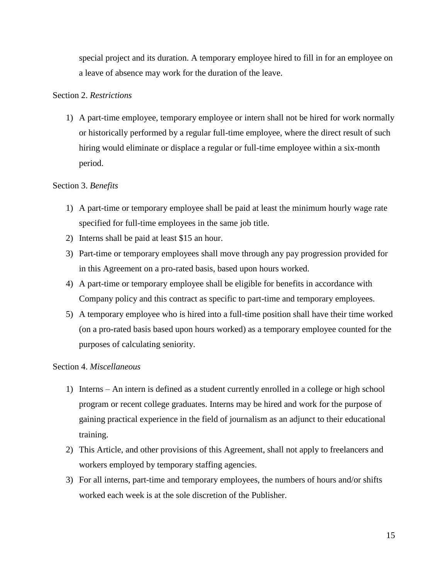special project and its duration. A temporary employee hired to fill in for an employee on a leave of absence may work for the duration of the leave.

# Section 2. *Restrictions*

1) A part-time employee, temporary employee or intern shall not be hired for work normally or historically performed by a regular full-time employee, where the direct result of such hiring would eliminate or displace a regular or full-time employee within a six-month period.

# Section 3. *Benefits*

- 1) A part-time or temporary employee shall be paid at least the minimum hourly wage rate specified for full-time employees in the same job title.
- 2) Interns shall be paid at least \$15 an hour.
- 3) Part-time or temporary employees shall move through any pay progression provided for in this Agreement on a pro-rated basis, based upon hours worked.
- 4) A part-time or temporary employee shall be eligible for benefits in accordance with Company policy and this contract as specific to part-time and temporary employees.
- 5) A temporary employee who is hired into a full-time position shall have their time worked (on a pro-rated basis based upon hours worked) as a temporary employee counted for the purposes of calculating seniority.

## Section 4. *Miscellaneous*

- 1) Interns An intern is defined as a student currently enrolled in a college or high school program or recent college graduates. Interns may be hired and work for the purpose of gaining practical experience in the field of journalism as an adjunct to their educational training.
- 2) This Article, and other provisions of this Agreement, shall not apply to freelancers and workers employed by temporary staffing agencies.
- 3) For all interns, part-time and temporary employees, the numbers of hours and/or shifts worked each week is at the sole discretion of the Publisher.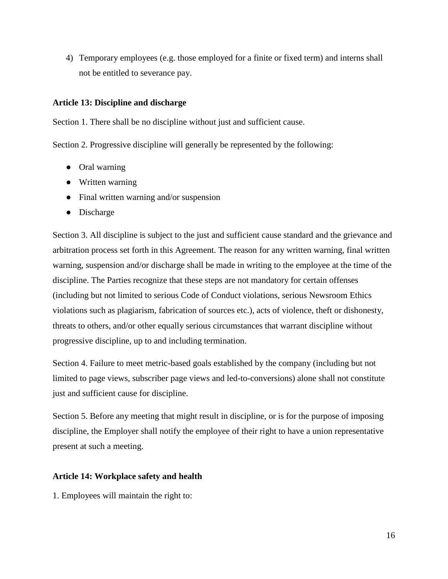<span id="page-15-2"></span>4) Temporary employees (e.g. those employed for a finite or fixed term) and interns shall not be entitled to severance pay.

# <span id="page-15-0"></span>**Article 13: Discipline and discharge**

Section 1. There shall be no discipline without just and sufficient cause.

Section 2. Progressive discipline will generally be represented by the following:

- Oral warning
- Written warning
- Final written warning and/or suspension
- Discharge

Section 3. All discipline is subject to the just and sufficient cause standard and the grievance and arbitration process set forth in this Agreement. The reason for any written warning, final written warning, suspension and/or discharge shall be made in writing to the employee at the time of the discipline. The Parties recognize that these steps are not mandatory for certain offenses (including but not limited to serious Code of Conduct violations, serious Newsroom Ethics violations such as plagiarism, fabrication of sources etc.), acts of violence, theft or dishonesty, threats to others, and/or other equally serious circumstances that warrant discipline without progressive discipline, up to and including termination.

Section 4. Failure to meet metric-based goals established by the company (including but not limited to page views, subscriber page views and led-to-conversions) alone shall not constitute just and sufficient cause for discipline.

Section 5. Before any meeting that might result in discipline, or is for the purpose of imposing discipline, the Employer shall notify the employee of their right to have a union representative present at such a meeting.

# <span id="page-15-1"></span>**Article 14: Workplace safety and health**

1. Employees will maintain the right to: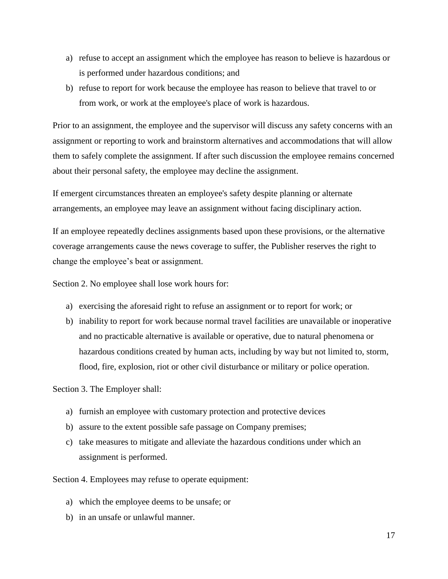- a) refuse to accept an assignment which the employee has reason to believe is hazardous or is performed under hazardous conditions; and
- b) refuse to report for work because the employee has reason to believe that travel to or from work, or work at the employee's place of work is hazardous.

Prior to an assignment, the employee and the supervisor will discuss any safety concerns with an assignment or reporting to work and brainstorm alternatives and accommodations that will allow them to safely complete the assignment. If after such discussion the employee remains concerned about their personal safety, the employee may decline the assignment.

If emergent circumstances threaten an employee's safety despite planning or alternate arrangements, an employee may leave an assignment without facing disciplinary action.

If an employee repeatedly declines assignments based upon these provisions, or the alternative coverage arrangements cause the news coverage to suffer, the Publisher reserves the right to change the employee's beat or assignment.

Section 2. No employee shall lose work hours for:

- a) exercising the aforesaid right to refuse an assignment or to report for work; or
- b) inability to report for work because normal travel facilities are unavailable or inoperative and no practicable alternative is available or operative, due to natural phenomena or hazardous conditions created by human acts, including by way but not limited to, storm, flood, fire, explosion, riot or other civil disturbance or military or police operation.

Section 3. The Employer shall:

- a) furnish an employee with customary protection and protective devices
- b) assure to the extent possible safe passage on Company premises;
- c) take measures to mitigate and alleviate the hazardous conditions under which an assignment is performed.

Section 4. Employees may refuse to operate equipment:

- a) which the employee deems to be unsafe; or
- b) in an unsafe or unlawful manner.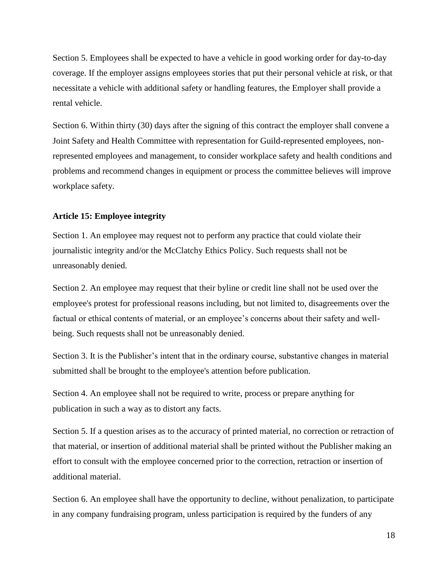<span id="page-17-1"></span>Section 5. Employees shall be expected to have a vehicle in good working order for day-to-day coverage. If the employer assigns employees stories that put their personal vehicle at risk, or that necessitate a vehicle with additional safety or handling features, the Employer shall provide a rental vehicle.

Section 6. Within thirty (30) days after the signing of this contract the employer shall convene a Joint Safety and Health Committee with representation for Guild-represented employees, nonrepresented employees and management, to consider workplace safety and health conditions and problems and recommend changes in equipment or process the committee believes will improve workplace safety.

#### <span id="page-17-0"></span>**Article 15: Employee integrity**

Section 1. An employee may request not to perform any practice that could violate their journalistic integrity and/or the McClatchy Ethics Policy. Such requests shall not be unreasonably denied.

Section 2. An employee may request that their byline or credit line shall not be used over the employee's protest for professional reasons including, but not limited to, disagreements over the factual or ethical contents of material, or an employee's concerns about their safety and wellbeing. Such requests shall not be unreasonably denied.

Section 3. It is the Publisher's intent that in the ordinary course, substantive changes in material submitted shall be brought to the employee's attention before publication.

Section 4. An employee shall not be required to write, process or prepare anything for publication in such a way as to distort any facts.

Section 5. If a question arises as to the accuracy of printed material, no correction or retraction of that material, or insertion of additional material shall be printed without the Publisher making an effort to consult with the employee concerned prior to the correction, retraction or insertion of additional material.

Section 6. An employee shall have the opportunity to decline, without penalization, to participate in any company fundraising program, unless participation is required by the funders of any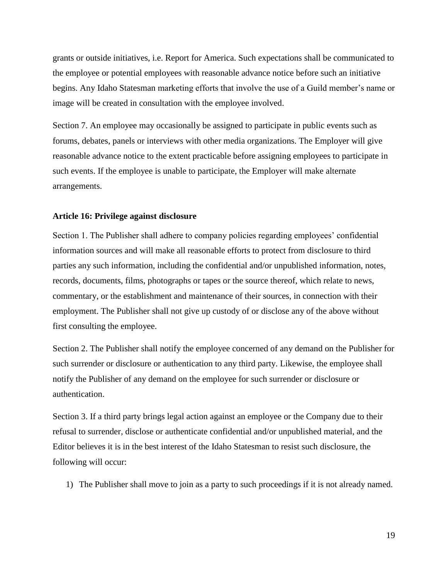<span id="page-18-1"></span>grants or outside initiatives, i.e. Report for America. Such expectations shall be communicated to the employee or potential employees with reasonable advance notice before such an initiative begins. Any Idaho Statesman marketing efforts that involve the use of a Guild member's name or image will be created in consultation with the employee involved.

Section 7. An employee may occasionally be assigned to participate in public events such as forums, debates, panels or interviews with other media organizations. The Employer will give reasonable advance notice to the extent practicable before assigning employees to participate in such events. If the employee is unable to participate, the Employer will make alternate arrangements.

#### <span id="page-18-0"></span>**Article 16: Privilege against disclosure**

Section 1. The Publisher shall adhere to company policies regarding employees' confidential information sources and will make all reasonable efforts to protect from disclosure to third parties any such information, including the confidential and/or unpublished information, notes, records, documents, films, photographs or tapes or the source thereof, which relate to news, commentary, or the establishment and maintenance of their sources, in connection with their employment. The Publisher shall not give up custody of or disclose any of the above without first consulting the employee.

Section 2. The Publisher shall notify the employee concerned of any demand on the Publisher for such surrender or disclosure or authentication to any third party. Likewise, the employee shall notify the Publisher of any demand on the employee for such surrender or disclosure or authentication.

Section 3. If a third party brings legal action against an employee or the Company due to their refusal to surrender, disclose or authenticate confidential and/or unpublished material, and the Editor believes it is in the best interest of the Idaho Statesman to resist such disclosure, the following will occur:

1) The Publisher shall move to join as a party to such proceedings if it is not already named.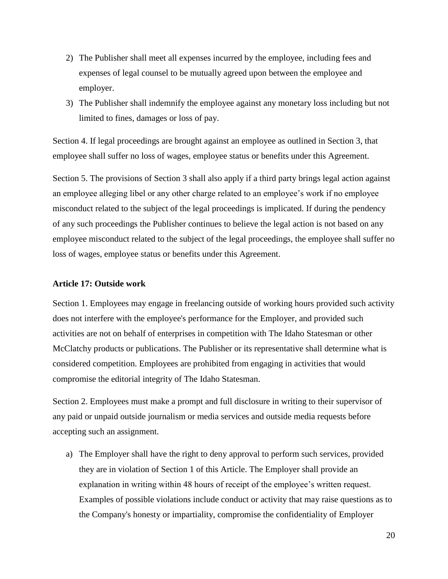- <span id="page-19-1"></span>2) The Publisher shall meet all expenses incurred by the employee, including fees and expenses of legal counsel to be mutually agreed upon between the employee and employer.
- 3) The Publisher shall indemnify the employee against any monetary loss including but not limited to fines, damages or loss of pay.

Section 4. If legal proceedings are brought against an employee as outlined in Section 3, that employee shall suffer no loss of wages, employee status or benefits under this Agreement.

Section 5. The provisions of Section 3 shall also apply if a third party brings legal action against an employee alleging libel or any other charge related to an employee's work if no employee misconduct related to the subject of the legal proceedings is implicated. If during the pendency of any such proceedings the Publisher continues to believe the legal action is not based on any employee misconduct related to the subject of the legal proceedings, the employee shall suffer no loss of wages, employee status or benefits under this Agreement.

#### <span id="page-19-0"></span>**Article 17: Outside work**

Section 1. Employees may engage in freelancing outside of working hours provided such activity does not interfere with the employee's performance for the Employer, and provided such activities are not on behalf of enterprises in competition with The Idaho Statesman or other McClatchy products or publications. The Publisher or its representative shall determine what is considered competition. Employees are prohibited from engaging in activities that would compromise the editorial integrity of The Idaho Statesman.

Section 2. Employees must make a prompt and full disclosure in writing to their supervisor of any paid or unpaid outside journalism or media services and outside media requests before accepting such an assignment.

a) The Employer shall have the right to deny approval to perform such services, provided they are in violation of Section 1 of this Article. The Employer shall provide an explanation in writing within 48 hours of receipt of the employee's written request. Examples of possible violations include conduct or activity that may raise questions as to the Company's honesty or impartiality, compromise the confidentiality of Employer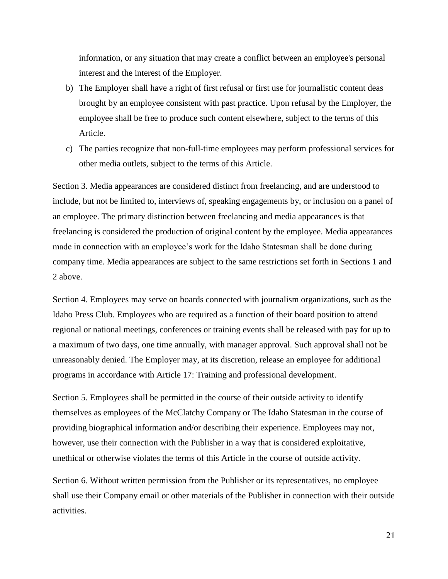information, or any situation that may create a conflict between an employee's personal interest and the interest of the Employer.

- b) The Employer shall have a right of first refusal or first use for journalistic content deas brought by an employee consistent with past practice. Upon refusal by the Employer, the employee shall be free to produce such content elsewhere, subject to the terms of this Article.
- c) The parties recognize that non-full-time employees may perform professional services for other media outlets, subject to the terms of this Article.

Section 3. Media appearances are considered distinct from freelancing, and are understood to include, but not be limited to, interviews of, speaking engagements by, or inclusion on a panel of an employee. The primary distinction between freelancing and media appearances is that freelancing is considered the production of original content by the employee. Media appearances made in connection with an employee's work for the Idaho Statesman shall be done during company time. Media appearances are subject to the same restrictions set forth in Sections 1 and 2 above.

Section 4. Employees may serve on boards connected with journalism organizations, such as the Idaho Press Club. Employees who are required as a function of their board position to attend regional or national meetings, conferences or training events shall be released with pay for up to a maximum of two days, one time annually, with manager approval. Such approval shall not be unreasonably denied. The Employer may, at its discretion, release an employee for additional programs in accordance with Article 17: Training and professional development.

Section 5. Employees shall be permitted in the course of their outside activity to identify themselves as employees of the McClatchy Company or The Idaho Statesman in the course of providing biographical information and/or describing their experience. Employees may not, however, use their connection with the Publisher in a way that is considered exploitative, unethical or otherwise violates the terms of this Article in the course of outside activity.

Section 6. Without written permission from the Publisher or its representatives, no employee shall use their Company email or other materials of the Publisher in connection with their outside activities.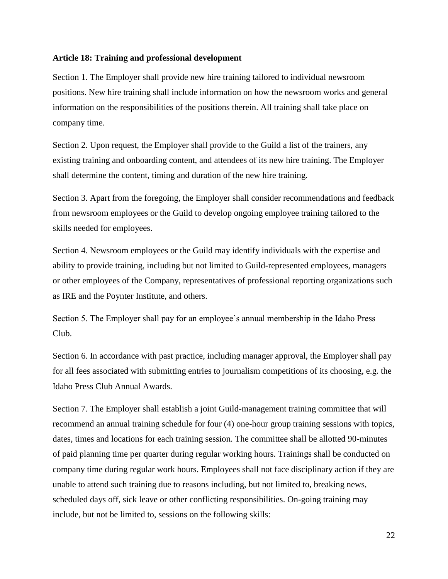# <span id="page-21-1"></span><span id="page-21-0"></span>**Article 18: Training and professional development**

Section 1. The Employer shall provide new hire training tailored to individual newsroom positions. New hire training shall include information on how the newsroom works and general information on the responsibilities of the positions therein. All training shall take place on company time.

Section 2. Upon request, the Employer shall provide to the Guild a list of the trainers, any existing training and onboarding content, and attendees of its new hire training. The Employer shall determine the content, timing and duration of the new hire training.

Section 3. Apart from the foregoing, the Employer shall consider recommendations and feedback from newsroom employees or the Guild to develop ongoing employee training tailored to the skills needed for employees.

Section 4. Newsroom employees or the Guild may identify individuals with the expertise and ability to provide training, including but not limited to Guild-represented employees, managers or other employees of the Company, representatives of professional reporting organizations such as IRE and the Poynter Institute, and others.

Section 5. The Employer shall pay for an employee's annual membership in the Idaho Press Club.

Section 6. In accordance with past practice, including manager approval, the Employer shall pay for all fees associated with submitting entries to journalism competitions of its choosing, e.g. the Idaho Press Club Annual Awards.

Section 7. The Employer shall establish a joint Guild-management training committee that will recommend an annual training schedule for four (4) one-hour group training sessions with topics, dates, times and locations for each training session. The committee shall be allotted 90-minutes of paid planning time per quarter during regular working hours. Trainings shall be conducted on company time during regular work hours. Employees shall not face disciplinary action if they are unable to attend such training due to reasons including, but not limited to, breaking news, scheduled days off, sick leave or other conflicting responsibilities. On-going training may include, but not be limited to, sessions on the following skills: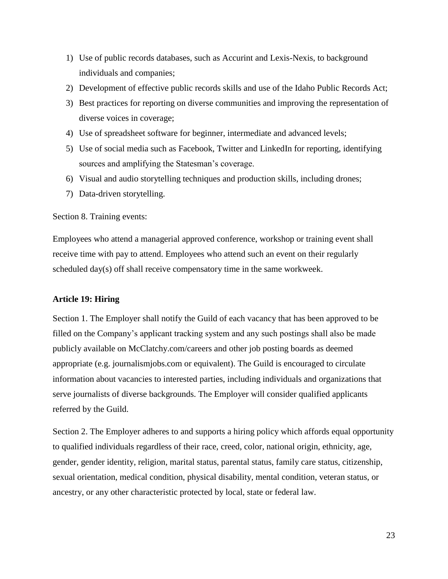- <span id="page-22-1"></span>1) Use of public records databases, such as Accurint and Lexis-Nexis, to background individuals and companies;
- 2) Development of effective public records skills and use of the Idaho Public Records Act;
- 3) Best practices for reporting on diverse communities and improving the representation of diverse voices in coverage;
- 4) Use of spreadsheet software for beginner, intermediate and advanced levels;
- 5) Use of social media such as Facebook, Twitter and LinkedIn for reporting, identifying sources and amplifying the Statesman's coverage.
- 6) Visual and audio storytelling techniques and production skills, including drones;
- 7) Data-driven storytelling.

Section 8. Training events:

Employees who attend a managerial approved conference, workshop or training event shall receive time with pay to attend. Employees who attend such an event on their regularly scheduled day(s) off shall receive compensatory time in the same workweek.

## <span id="page-22-0"></span>**Article 19: Hiring**

Section 1. The Employer shall notify the Guild of each vacancy that has been approved to be filled on the Company's applicant tracking system and any such postings shall also be made publicly available on McClatchy.com/careers and other job posting boards as deemed appropriate (e.g. journalismjobs.com or equivalent). The Guild is encouraged to circulate information about vacancies to interested parties, including individuals and organizations that serve journalists of diverse backgrounds. The Employer will consider qualified applicants referred by the Guild.

Section 2. The Employer adheres to and supports a hiring policy which affords equal opportunity to qualified individuals regardless of their race, creed, color, national origin, ethnicity, age, gender, gender identity, religion, marital status, parental status, family care status, citizenship, sexual orientation, medical condition, physical disability, mental condition, veteran status, or ancestry, or any other characteristic protected by local, state or federal law.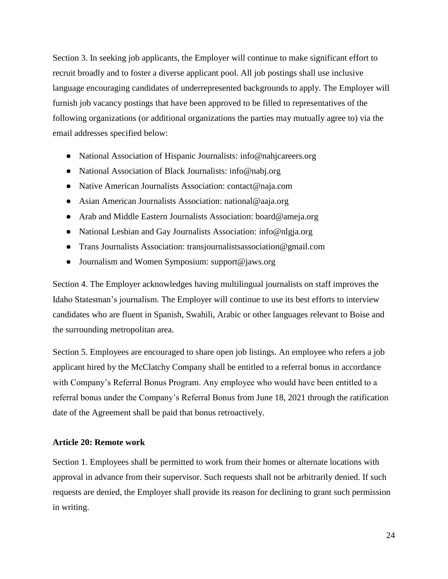<span id="page-23-1"></span>Section 3. In seeking job applicants, the Employer will continue to make significant effort to recruit broadly and to foster a diverse applicant pool. All job postings shall use inclusive language encouraging candidates of underrepresented backgrounds to apply. The Employer will furnish job vacancy postings that have been approved to be filled to representatives of the following organizations (or additional organizations the parties may mutually agree to) via the email addresses specified below:

- National Association of Hispanic Journalists: info@nahjcareers.org
- National Association of Black Journalists: info@nabj.org
- Native American Journalists Association: contact@naja.com
- Asian American Journalists Association: national@aaja.org
- Arab and Middle Eastern Journalists Association: board@ameja.org
- National Lesbian and Gay Journalists Association: info@nlgja.org
- Trans Journalists Association: transjournalistsassociation@gmail.com
- Journalism and Women Symposium: support@jaws.org

Section 4. The Employer acknowledges having multilingual journalists on staff improves the Idaho Statesman's journalism. The Employer will continue to use its best efforts to interview candidates who are fluent in Spanish, Swahili, Arabic or other languages relevant to Boise and the surrounding metropolitan area.

Section 5. Employees are encouraged to share open job listings. An employee who refers a job applicant hired by the McClatchy Company shall be entitled to a referral bonus in accordance with Company's Referral Bonus Program. Any employee who would have been entitled to a referral bonus under the Company's Referral Bonus from June 18, 2021 through the ratification date of the Agreement shall be paid that bonus retroactively.

# <span id="page-23-0"></span>**Article 20: Remote work**

Section 1. Employees shall be permitted to work from their homes or alternate locations with approval in advance from their supervisor. Such requests shall not be arbitrarily denied. If such requests are denied, the Employer shall provide its reason for declining to grant such permission in writing.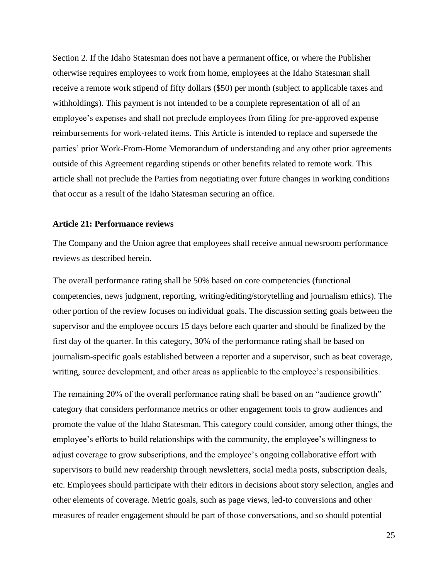<span id="page-24-1"></span>Section 2. If the Idaho Statesman does not have a permanent office, or where the Publisher otherwise requires employees to work from home, employees at the Idaho Statesman shall receive a remote work stipend of fifty dollars (\$50) per month (subject to applicable taxes and withholdings). This payment is not intended to be a complete representation of all of an employee's expenses and shall not preclude employees from filing for pre-approved expense reimbursements for work-related items. This Article is intended to replace and supersede the parties' prior Work-From-Home Memorandum of understanding and any other prior agreements outside of this Agreement regarding stipends or other benefits related to remote work. This article shall not preclude the Parties from negotiating over future changes in working conditions that occur as a result of the Idaho Statesman securing an office.

#### <span id="page-24-0"></span>**Article 21: Performance reviews**

The Company and the Union agree that employees shall receive annual newsroom performance reviews as described herein.

The overall performance rating shall be 50% based on core competencies (functional competencies, news judgment, reporting, writing/editing/storytelling and journalism ethics). The other portion of the review focuses on individual goals. The discussion setting goals between the supervisor and the employee occurs 15 days before each quarter and should be finalized by the first day of the quarter. In this category, 30% of the performance rating shall be based on journalism-specific goals established between a reporter and a supervisor, such as beat coverage, writing, source development, and other areas as applicable to the employee's responsibilities.

The remaining 20% of the overall performance rating shall be based on an "audience growth" category that considers performance metrics or other engagement tools to grow audiences and promote the value of the Idaho Statesman. This category could consider, among other things, the employee's efforts to build relationships with the community, the employee's willingness to adjust coverage to grow subscriptions, and the employee's ongoing collaborative effort with supervisors to build new readership through newsletters, social media posts, subscription deals, etc. Employees should participate with their editors in decisions about story selection, angles and other elements of coverage. Metric goals, such as page views, led-to conversions and other measures of reader engagement should be part of those conversations, and so should potential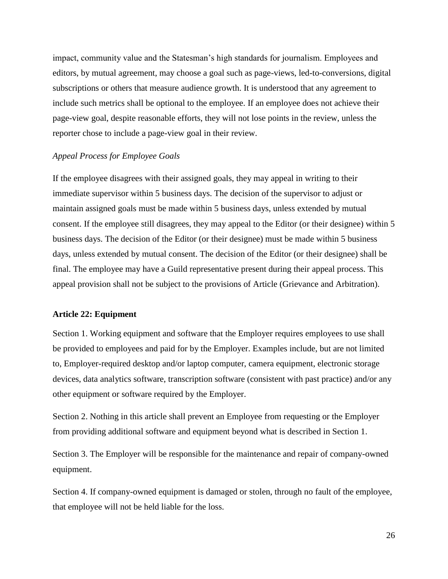<span id="page-25-1"></span>impact, community value and the Statesman's high standards for journalism. Employees and editors, by mutual agreement, may choose a goal such as page-views, led-to-conversions, digital subscriptions or others that measure audience growth. It is understood that any agreement to include such metrics shall be optional to the employee. If an employee does not achieve their page-view goal, despite reasonable efforts, they will not lose points in the review, unless the reporter chose to include a page-view goal in their review.

#### *Appeal Process for Employee Goals*

If the employee disagrees with their assigned goals, they may appeal in writing to their immediate supervisor within 5 business days. The decision of the supervisor to adjust or maintain assigned goals must be made within 5 business days, unless extended by mutual consent. If the employee still disagrees, they may appeal to the Editor (or their designee) within 5 business days. The decision of the Editor (or their designee) must be made within 5 business days, unless extended by mutual consent. The decision of the Editor (or their designee) shall be final. The employee may have a Guild representative present during their appeal process. This appeal provision shall not be subject to the provisions of Article (Grievance and Arbitration).

## <span id="page-25-0"></span>**Article 22: Equipment**

Section 1. Working equipment and software that the Employer requires employees to use shall be provided to employees and paid for by the Employer. Examples include, but are not limited to, Employer-required desktop and/or laptop computer, camera equipment, electronic storage devices, data analytics software, transcription software (consistent with past practice) and/or any other equipment or software required by the Employer.

Section 2. Nothing in this article shall prevent an Employee from requesting or the Employer from providing additional software and equipment beyond what is described in Section 1.

Section 3. The Employer will be responsible for the maintenance and repair of company-owned equipment.

Section 4. If company-owned equipment is damaged or stolen, through no fault of the employee, that employee will not be held liable for the loss.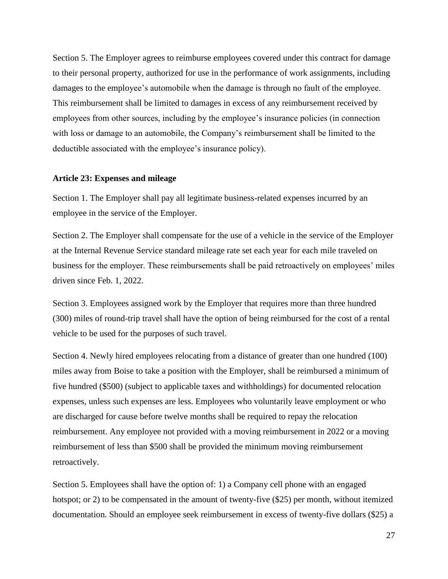<span id="page-26-1"></span>Section 5. The Employer agrees to reimburse employees covered under this contract for damage to their personal property, authorized for use in the performance of work assignments, including damages to the employee's automobile when the damage is through no fault of the employee. This reimbursement shall be limited to damages in excess of any reimbursement received by employees from other sources, including by the employee's insurance policies (in connection with loss or damage to an automobile, the Company's reimbursement shall be limited to the deductible associated with the employee's insurance policy).

#### <span id="page-26-0"></span>**Article 23: Expenses and mileage**

Section 1. The Employer shall pay all legitimate business-related expenses incurred by an employee in the service of the Employer.

Section 2. The Employer shall compensate for the use of a vehicle in the service of the Employer at the Internal Revenue Service standard mileage rate set each year for each mile traveled on business for the employer. These reimbursements shall be paid retroactively on employees' miles driven since Feb. 1, 2022.

Section 3. Employees assigned work by the Employer that requires more than three hundred (300) miles of round-trip travel shall have the option of being reimbursed for the cost of a rental vehicle to be used for the purposes of such travel.

Section 4. Newly hired employees relocating from a distance of greater than one hundred (100) miles away from Boise to take a position with the Employer, shall be reimbursed a minimum of five hundred (\$500) (subject to applicable taxes and withholdings) for documented relocation expenses, unless such expenses are less. Employees who voluntarily leave employment or who are discharged for cause before twelve months shall be required to repay the relocation reimbursement. Any employee not provided with a moving reimbursement in 2022 or a moving reimbursement of less than \$500 shall be provided the minimum moving reimbursement retroactively.

Section 5. Employees shall have the option of: 1) a Company cell phone with an engaged hotspot; or 2) to be compensated in the amount of twenty-five (\$25) per month, without itemized documentation. Should an employee seek reimbursement in excess of twenty-five dollars (\$25) a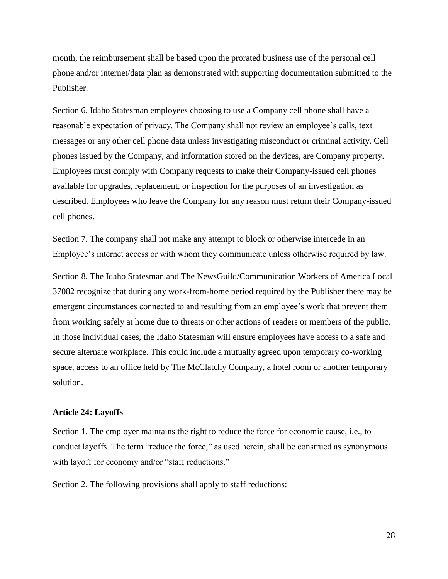<span id="page-27-1"></span>month, the reimbursement shall be based upon the prorated business use of the personal cell phone and/or internet/data plan as demonstrated with supporting documentation submitted to the Publisher.

Section 6. Idaho Statesman employees choosing to use a Company cell phone shall have a reasonable expectation of privacy. The Company shall not review an employee's calls, text messages or any other cell phone data unless investigating misconduct or criminal activity. Cell phones issued by the Company, and information stored on the devices, are Company property. Employees must comply with Company requests to make their Company-issued cell phones available for upgrades, replacement, or inspection for the purposes of an investigation as described. Employees who leave the Company for any reason must return their Company-issued cell phones.

Section 7. The company shall not make any attempt to block or otherwise intercede in an Employee's internet access or with whom they communicate unless otherwise required by law.

Section 8. The Idaho Statesman and The NewsGuild/Communication Workers of America Local 37082 recognize that during any work-from-home period required by the Publisher there may be emergent circumstances connected to and resulting from an employee's work that prevent them from working safely at home due to threats or other actions of readers or members of the public. In those individual cases, the Idaho Statesman will ensure employees have access to a safe and secure alternate workplace. This could include a mutually agreed upon temporary co-working space, access to an office held by The McClatchy Company, a hotel room or another temporary solution.

# <span id="page-27-0"></span>**Article 24: Layoffs**

Section 1. The employer maintains the right to reduce the force for economic cause, i.e., to conduct layoffs. The term "reduce the force," as used herein, shall be construed as synonymous with layoff for economy and/or "staff reductions."

Section 2. The following provisions shall apply to staff reductions: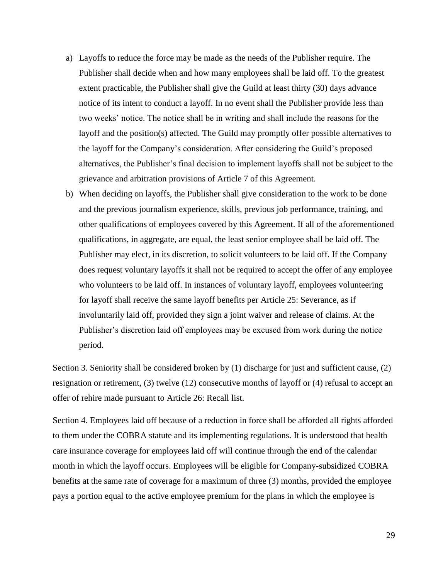- a) Layoffs to reduce the force may be made as the needs of the Publisher require. The Publisher shall decide when and how many employees shall be laid off. To the greatest extent practicable, the Publisher shall give the Guild at least thirty (30) days advance notice of its intent to conduct a layoff. In no event shall the Publisher provide less than two weeks' notice. The notice shall be in writing and shall include the reasons for the layoff and the position(s) affected. The Guild may promptly offer possible alternatives to the layoff for the Company's consideration. After considering the Guild's proposed alternatives, the Publisher's final decision to implement layoffs shall not be subject to the grievance and arbitration provisions of Article 7 of this Agreement.
- b) When deciding on layoffs, the Publisher shall give consideration to the work to be done and the previous journalism experience, skills, previous job performance, training, and other qualifications of employees covered by this Agreement. If all of the aforementioned qualifications, in aggregate, are equal, the least senior employee shall be laid off. The Publisher may elect, in its discretion, to solicit volunteers to be laid off. If the Company does request voluntary layoffs it shall not be required to accept the offer of any employee who volunteers to be laid off. In instances of voluntary layoff, employees volunteering for layoff shall receive the same layoff benefits per Article 25: Severance, as if involuntarily laid off, provided they sign a joint waiver and release of claims. At the Publisher's discretion laid off employees may be excused from work during the notice period.

Section 3. Seniority shall be considered broken by (1) discharge for just and sufficient cause, (2) resignation or retirement, (3) twelve (12) consecutive months of layoff or (4) refusal to accept an offer of rehire made pursuant to Article 26: Recall list.

Section 4. Employees laid off because of a reduction in force shall be afforded all rights afforded to them under the COBRA statute and its implementing regulations. It is understood that health care insurance coverage for employees laid off will continue through the end of the calendar month in which the layoff occurs. Employees will be eligible for Company-subsidized COBRA benefits at the same rate of coverage for a maximum of three (3) months, provided the employee pays a portion equal to the active employee premium for the plans in which the employee is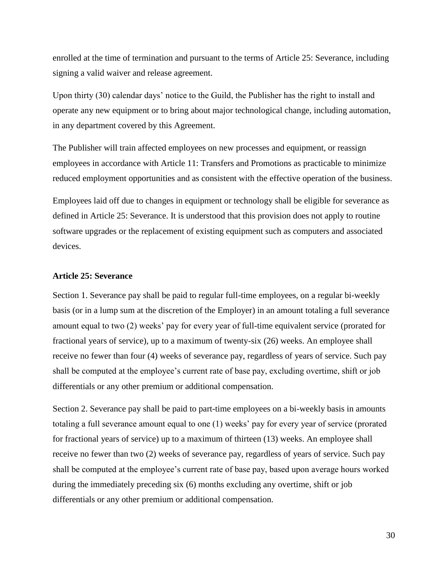<span id="page-29-1"></span>enrolled at the time of termination and pursuant to the terms of Article 25: Severance, including signing a valid waiver and release agreement.

Upon thirty (30) calendar days' notice to the Guild, the Publisher has the right to install and operate any new equipment or to bring about major technological change, including automation, in any department covered by this Agreement.

The Publisher will train affected employees on new processes and equipment, or reassign employees in accordance with Article 11: Transfers and Promotions as practicable to minimize reduced employment opportunities and as consistent with the effective operation of the business.

Employees laid off due to changes in equipment or technology shall be eligible for severance as defined in Article 25: Severance. It is understood that this provision does not apply to routine software upgrades or the replacement of existing equipment such as computers and associated devices.

#### <span id="page-29-0"></span>**Article 25: Severance**

Section 1. Severance pay shall be paid to regular full-time employees, on a regular bi-weekly basis (or in a lump sum at the discretion of the Employer) in an amount totaling a full severance amount equal to two (2) weeks' pay for every year of full-time equivalent service (prorated for fractional years of service), up to a maximum of twenty-six (26) weeks. An employee shall receive no fewer than four (4) weeks of severance pay, regardless of years of service. Such pay shall be computed at the employee's current rate of base pay, excluding overtime, shift or job differentials or any other premium or additional compensation.

Section 2. Severance pay shall be paid to part-time employees on a bi-weekly basis in amounts totaling a full severance amount equal to one (1) weeks' pay for every year of service (prorated for fractional years of service) up to a maximum of thirteen (13) weeks. An employee shall receive no fewer than two (2) weeks of severance pay, regardless of years of service. Such pay shall be computed at the employee's current rate of base pay, based upon average hours worked during the immediately preceding six (6) months excluding any overtime, shift or job differentials or any other premium or additional compensation.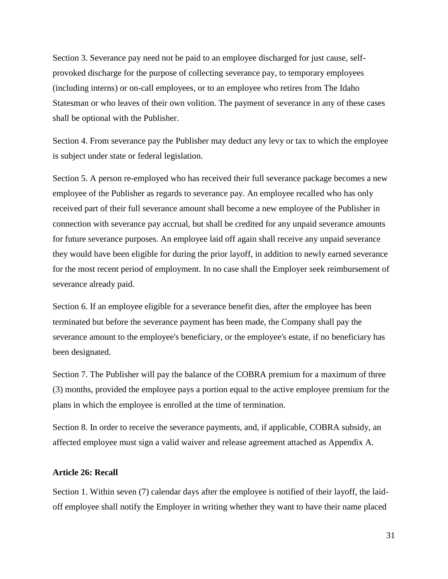<span id="page-30-1"></span>Section 3. Severance pay need not be paid to an employee discharged for just cause, selfprovoked discharge for the purpose of collecting severance pay, to temporary employees (including interns) or on-call employees, or to an employee who retires from The Idaho Statesman or who leaves of their own volition. The payment of severance in any of these cases shall be optional with the Publisher.

Section 4. From severance pay the Publisher may deduct any levy or tax to which the employee is subject under state or federal legislation.

Section 5. A person re-employed who has received their full severance package becomes a new employee of the Publisher as regards to severance pay. An employee recalled who has only received part of their full severance amount shall become a new employee of the Publisher in connection with severance pay accrual, but shall be credited for any unpaid severance amounts for future severance purposes. An employee laid off again shall receive any unpaid severance they would have been eligible for during the prior layoff, in addition to newly earned severance for the most recent period of employment. In no case shall the Employer seek reimbursement of severance already paid.

Section 6. If an employee eligible for a severance benefit dies, after the employee has been terminated but before the severance payment has been made, the Company shall pay the severance amount to the employee's beneficiary, or the employee's estate, if no beneficiary has been designated.

Section 7. The Publisher will pay the balance of the COBRA premium for a maximum of three (3) months, provided the employee pays a portion equal to the active employee premium for the plans in which the employee is enrolled at the time of termination.

Section 8. In order to receive the severance payments, and, if applicable, COBRA subsidy, an affected employee must sign a valid waiver and release agreement attached as Appendix A.

## <span id="page-30-0"></span>**Article 26: Recall**

Section 1. Within seven (7) calendar days after the employee is notified of their layoff, the laidoff employee shall notify the Employer in writing whether they want to have their name placed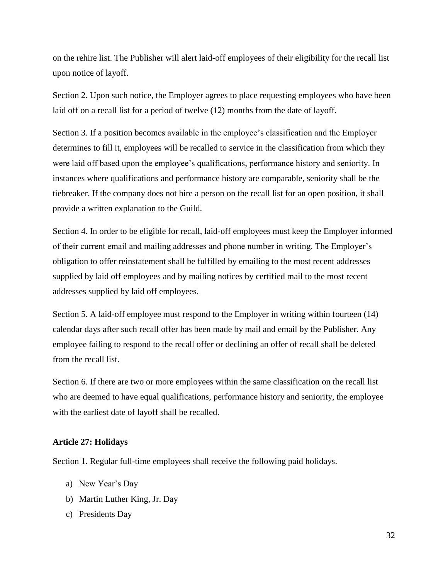<span id="page-31-1"></span>on the rehire list. The Publisher will alert laid-off employees of their eligibility for the recall list upon notice of layoff.

Section 2. Upon such notice, the Employer agrees to place requesting employees who have been laid off on a recall list for a period of twelve (12) months from the date of layoff.

Section 3. If a position becomes available in the employee's classification and the Employer determines to fill it, employees will be recalled to service in the classification from which they were laid off based upon the employee's qualifications, performance history and seniority. In instances where qualifications and performance history are comparable, seniority shall be the tiebreaker. If the company does not hire a person on the recall list for an open position, it shall provide a written explanation to the Guild.

Section 4. In order to be eligible for recall, laid-off employees must keep the Employer informed of their current email and mailing addresses and phone number in writing. The Employer's obligation to offer reinstatement shall be fulfilled by emailing to the most recent addresses supplied by laid off employees and by mailing notices by certified mail to the most recent addresses supplied by laid off employees.

Section 5. A laid-off employee must respond to the Employer in writing within fourteen (14) calendar days after such recall offer has been made by mail and email by the Publisher. Any employee failing to respond to the recall offer or declining an offer of recall shall be deleted from the recall list.

Section 6. If there are two or more employees within the same classification on the recall list who are deemed to have equal qualifications, performance history and seniority, the employee with the earliest date of layoff shall be recalled.

## <span id="page-31-0"></span>**Article 27: Holidays**

Section 1. Regular full-time employees shall receive the following paid holidays.

- a) New Year's Day
- b) Martin Luther King, Jr. Day
- c) Presidents Day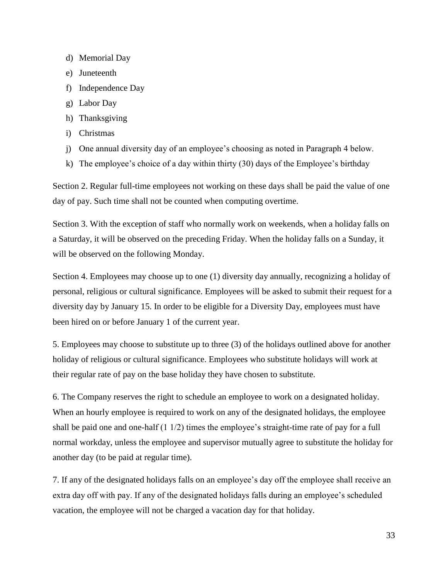- d) Memorial Day
- e) Juneteenth
- f) Independence Day
- g) Labor Day
- h) Thanksgiving
- i) Christmas
- j) One annual diversity day of an employee's choosing as noted in Paragraph 4 below.
- k) The employee's choice of a day within thirty (30) days of the Employee's birthday

Section 2. Regular full-time employees not working on these days shall be paid the value of one day of pay. Such time shall not be counted when computing overtime.

Section 3. With the exception of staff who normally work on weekends, when a holiday falls on a Saturday, it will be observed on the preceding Friday. When the holiday falls on a Sunday, it will be observed on the following Monday.

Section 4. Employees may choose up to one (1) diversity day annually, recognizing a holiday of personal, religious or cultural significance. Employees will be asked to submit their request for a diversity day by January 15. In order to be eligible for a Diversity Day, employees must have been hired on or before January 1 of the current year.

5. Employees may choose to substitute up to three (3) of the holidays outlined above for another holiday of religious or cultural significance. Employees who substitute holidays will work at their regular rate of pay on the base holiday they have chosen to substitute.

6. The Company reserves the right to schedule an employee to work on a designated holiday. When an hourly employee is required to work on any of the designated holidays, the employee shall be paid one and one-half (1 1/2) times the employee's straight-time rate of pay for a full normal workday, unless the employee and supervisor mutually agree to substitute the holiday for another day (to be paid at regular time).

7. If any of the designated holidays falls on an employee's day off the employee shall receive an extra day off with pay. If any of the designated holidays falls during an employee's scheduled vacation, the employee will not be charged a vacation day for that holiday.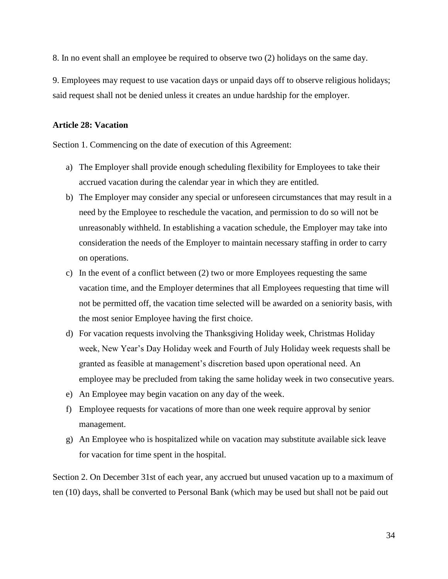<span id="page-33-1"></span>8. In no event shall an employee be required to observe two (2) holidays on the same day.

9. Employees may request to use vacation days or unpaid days off to observe religious holidays; said request shall not be denied unless it creates an undue hardship for the employer.

## <span id="page-33-0"></span>**Article 28: Vacation**

Section 1. Commencing on the date of execution of this Agreement:

- a) The Employer shall provide enough scheduling flexibility for Employees to take their accrued vacation during the calendar year in which they are entitled.
- b) The Employer may consider any special or unforeseen circumstances that may result in a need by the Employee to reschedule the vacation, and permission to do so will not be unreasonably withheld. In establishing a vacation schedule, the Employer may take into consideration the needs of the Employer to maintain necessary staffing in order to carry on operations.
- c) In the event of a conflict between (2) two or more Employees requesting the same vacation time, and the Employer determines that all Employees requesting that time will not be permitted off, the vacation time selected will be awarded on a seniority basis, with the most senior Employee having the first choice.
- d) For vacation requests involving the Thanksgiving Holiday week, Christmas Holiday week, New Year's Day Holiday week and Fourth of July Holiday week requests shall be granted as feasible at management's discretion based upon operational need. An employee may be precluded from taking the same holiday week in two consecutive years.
- e) An Employee may begin vacation on any day of the week.
- f) Employee requests for vacations of more than one week require approval by senior management.
- g) An Employee who is hospitalized while on vacation may substitute available sick leave for vacation for time spent in the hospital.

Section 2. On December 31st of each year, any accrued but unused vacation up to a maximum of ten (10) days, shall be converted to Personal Bank (which may be used but shall not be paid out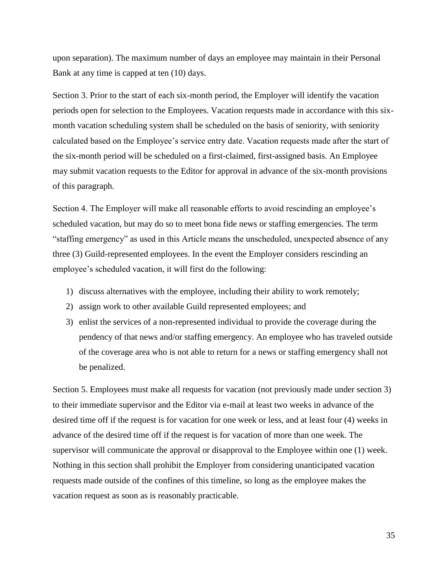upon separation). The maximum number of days an employee may maintain in their Personal Bank at any time is capped at ten (10) days.

Section 3. Prior to the start of each six-month period, the Employer will identify the vacation periods open for selection to the Employees. Vacation requests made in accordance with this sixmonth vacation scheduling system shall be scheduled on the basis of seniority, with seniority calculated based on the Employee's service entry date. Vacation requests made after the start of the six-month period will be scheduled on a first-claimed, first-assigned basis. An Employee may submit vacation requests to the Editor for approval in advance of the six-month provisions of this paragraph.

Section 4. The Employer will make all reasonable efforts to avoid rescinding an employee's scheduled vacation, but may do so to meet bona fide news or staffing emergencies. The term "staffing emergency" as used in this Article means the unscheduled, unexpected absence of any three (3) Guild-represented employees. In the event the Employer considers rescinding an employee's scheduled vacation, it will first do the following:

- 1) discuss alternatives with the employee, including their ability to work remotely;
- 2) assign work to other available Guild represented employees; and
- 3) enlist the services of a non-represented individual to provide the coverage during the pendency of that news and/or staffing emergency. An employee who has traveled outside of the coverage area who is not able to return for a news or staffing emergency shall not be penalized.

Section 5. Employees must make all requests for vacation (not previously made under section 3) to their immediate supervisor and the Editor via e-mail at least two weeks in advance of the desired time off if the request is for vacation for one week or less, and at least four (4) weeks in advance of the desired time off if the request is for vacation of more than one week. The supervisor will communicate the approval or disapproval to the Employee within one (1) week. Nothing in this section shall prohibit the Employer from considering unanticipated vacation requests made outside of the confines of this timeline, so long as the employee makes the vacation request as soon as is reasonably practicable.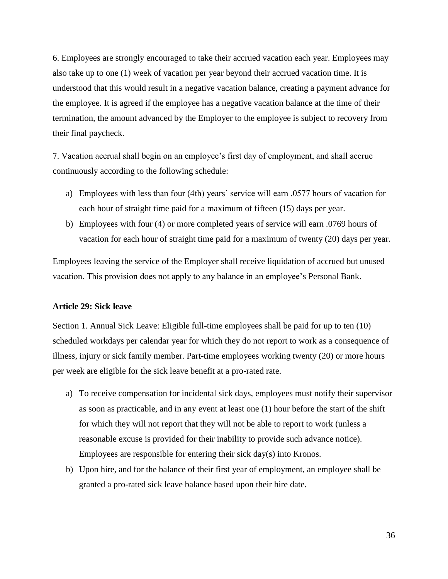<span id="page-35-1"></span>6. Employees are strongly encouraged to take their accrued vacation each year. Employees may also take up to one (1) week of vacation per year beyond their accrued vacation time. It is understood that this would result in a negative vacation balance, creating a payment advance for the employee. It is agreed if the employee has a negative vacation balance at the time of their termination, the amount advanced by the Employer to the employee is subject to recovery from their final paycheck.

7. Vacation accrual shall begin on an employee's first day of employment, and shall accrue continuously according to the following schedule:

- a) Employees with less than four (4th) years' service will earn .0577 hours of vacation for each hour of straight time paid for a maximum of fifteen (15) days per year.
- b) Employees with four (4) or more completed years of service will earn .0769 hours of vacation for each hour of straight time paid for a maximum of twenty (20) days per year.

Employees leaving the service of the Employer shall receive liquidation of accrued but unused vacation. This provision does not apply to any balance in an employee's Personal Bank.

## <span id="page-35-0"></span>**Article 29: Sick leave**

Section 1. Annual Sick Leave: Eligible full-time employees shall be paid for up to ten (10) scheduled workdays per calendar year for which they do not report to work as a consequence of illness, injury or sick family member. Part-time employees working twenty (20) or more hours per week are eligible for the sick leave benefit at a pro-rated rate.

- a) To receive compensation for incidental sick days, employees must notify their supervisor as soon as practicable, and in any event at least one (1) hour before the start of the shift for which they will not report that they will not be able to report to work (unless a reasonable excuse is provided for their inability to provide such advance notice). Employees are responsible for entering their sick day(s) into Kronos.
- b) Upon hire, and for the balance of their first year of employment, an employee shall be granted a pro-rated sick leave balance based upon their hire date.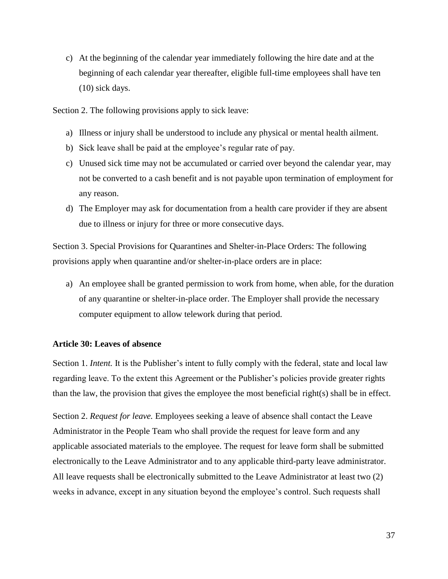<span id="page-36-1"></span>c) At the beginning of the calendar year immediately following the hire date and at the beginning of each calendar year thereafter, eligible full-time employees shall have ten (10) sick days.

Section 2. The following provisions apply to sick leave:

- a) Illness or injury shall be understood to include any physical or mental health ailment.
- b) Sick leave shall be paid at the employee's regular rate of pay.
- c) Unused sick time may not be accumulated or carried over beyond the calendar year, may not be converted to a cash benefit and is not payable upon termination of employment for any reason.
- d) The Employer may ask for documentation from a health care provider if they are absent due to illness or injury for three or more consecutive days.

Section 3. Special Provisions for Quarantines and Shelter-in-Place Orders: The following provisions apply when quarantine and/or shelter-in-place orders are in place:

a) An employee shall be granted permission to work from home, when able, for the duration of any quarantine or shelter-in-place order. The Employer shall provide the necessary computer equipment to allow telework during that period.

## <span id="page-36-0"></span>**Article 30: Leaves of absence**

Section 1. *Intent.* It is the Publisher's intent to fully comply with the federal, state and local law regarding leave. To the extent this Agreement or the Publisher's policies provide greater rights than the law, the provision that gives the employee the most beneficial right(s) shall be in effect.

Section 2. *Request for leave.* Employees seeking a leave of absence shall contact the Leave Administrator in the People Team who shall provide the request for leave form and any applicable associated materials to the employee. The request for leave form shall be submitted electronically to the Leave Administrator and to any applicable third-party leave administrator. All leave requests shall be electronically submitted to the Leave Administrator at least two (2) weeks in advance, except in any situation beyond the employee's control. Such requests shall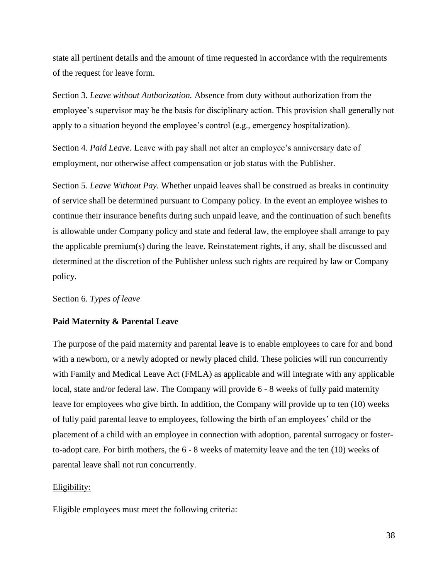state all pertinent details and the amount of time requested in accordance with the requirements of the request for leave form.

Section 3. *Leave without Authorization.* Absence from duty without authorization from the employee's supervisor may be the basis for disciplinary action. This provision shall generally not apply to a situation beyond the employee's control (e.g., emergency hospitalization).

Section 4. *Paid Leave.* Leave with pay shall not alter an employee's anniversary date of employment, nor otherwise affect compensation or job status with the Publisher.

Section 5. *Leave Without Pay.* Whether unpaid leaves shall be construed as breaks in continuity of service shall be determined pursuant to Company policy. In the event an employee wishes to continue their insurance benefits during such unpaid leave, and the continuation of such benefits is allowable under Company policy and state and federal law, the employee shall arrange to pay the applicable premium(s) during the leave. Reinstatement rights, if any, shall be discussed and determined at the discretion of the Publisher unless such rights are required by law or Company policy.

Section 6. *Types of leave*

## **Paid Maternity & Parental Leave**

The purpose of the paid maternity and parental leave is to enable employees to care for and bond with a newborn, or a newly adopted or newly placed child. These policies will run concurrently with Family and Medical Leave Act (FMLA) as applicable and will integrate with any applicable local, state and/or federal law. The Company will provide 6 - 8 weeks of fully paid maternity leave for employees who give birth. In addition, the Company will provide up to ten (10) weeks of fully paid parental leave to employees, following the birth of an employees' child or the placement of a child with an employee in connection with adoption, parental surrogacy or fosterto-adopt care. For birth mothers, the 6 - 8 weeks of maternity leave and the ten (10) weeks of parental leave shall not run concurrently.

## Eligibility:

Eligible employees must meet the following criteria: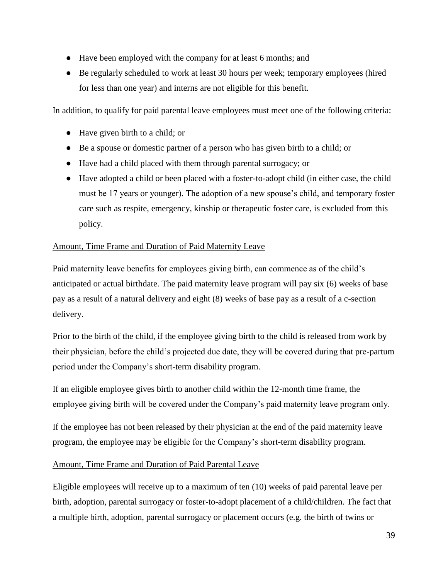- Have been employed with the company for at least 6 months; and
- Be regularly scheduled to work at least 30 hours per week; temporary employees (hired for less than one year) and interns are not eligible for this benefit.

In addition, to qualify for paid parental leave employees must meet one of the following criteria:

- Have given birth to a child; or
- Be a spouse or domestic partner of a person who has given birth to a child; or
- Have had a child placed with them through parental surrogacy; or
- Have adopted a child or been placed with a foster-to-adopt child (in either case, the child must be 17 years or younger). The adoption of a new spouse's child, and temporary foster care such as respite, emergency, kinship or therapeutic foster care, is excluded from this policy.

# Amount, Time Frame and Duration of Paid Maternity Leave

Paid maternity leave benefits for employees giving birth, can commence as of the child's anticipated or actual birthdate. The paid maternity leave program will pay six (6) weeks of base pay as a result of a natural delivery and eight (8) weeks of base pay as a result of a c-section delivery.

Prior to the birth of the child, if the employee giving birth to the child is released from work by their physician, before the child's projected due date, they will be covered during that pre-partum period under the Company's short-term disability program.

If an eligible employee gives birth to another child within the 12-month time frame, the employee giving birth will be covered under the Company's paid maternity leave program only.

If the employee has not been released by their physician at the end of the paid maternity leave program, the employee may be eligible for the Company's short-term disability program.

# Amount, Time Frame and Duration of Paid Parental Leave

Eligible employees will receive up to a maximum of ten (10) weeks of paid parental leave per birth, adoption, parental surrogacy or foster-to-adopt placement of a child/children. The fact that a multiple birth, adoption, parental surrogacy or placement occurs (e.g. the birth of twins or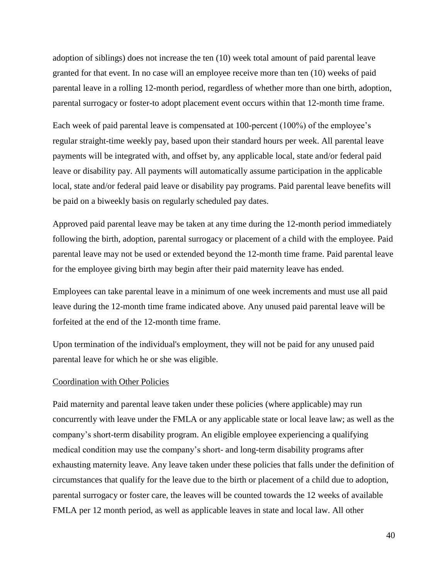adoption of siblings) does not increase the ten (10) week total amount of paid parental leave granted for that event. In no case will an employee receive more than ten (10) weeks of paid parental leave in a rolling 12-month period, regardless of whether more than one birth, adoption, parental surrogacy or foster-to adopt placement event occurs within that 12-month time frame.

Each week of paid parental leave is compensated at 100-percent (100%) of the employee's regular straight-time weekly pay, based upon their standard hours per week. All parental leave payments will be integrated with, and offset by, any applicable local, state and/or federal paid leave or disability pay. All payments will automatically assume participation in the applicable local, state and/or federal paid leave or disability pay programs. Paid parental leave benefits will be paid on a biweekly basis on regularly scheduled pay dates.

Approved paid parental leave may be taken at any time during the 12-month period immediately following the birth, adoption, parental surrogacy or placement of a child with the employee. Paid parental leave may not be used or extended beyond the 12-month time frame. Paid parental leave for the employee giving birth may begin after their paid maternity leave has ended.

Employees can take parental leave in a minimum of one week increments and must use all paid leave during the 12-month time frame indicated above. Any unused paid parental leave will be forfeited at the end of the 12-month time frame.

Upon termination of the individual's employment, they will not be paid for any unused paid parental leave for which he or she was eligible.

#### Coordination with Other Policies

Paid maternity and parental leave taken under these policies (where applicable) may run concurrently with leave under the FMLA or any applicable state or local leave law; as well as the company's short-term disability program. An eligible employee experiencing a qualifying medical condition may use the company's short- and long-term disability programs after exhausting maternity leave. Any leave taken under these policies that falls under the definition of circumstances that qualify for the leave due to the birth or placement of a child due to adoption, parental surrogacy or foster care, the leaves will be counted towards the 12 weeks of available FMLA per 12 month period, as well as applicable leaves in state and local law. All other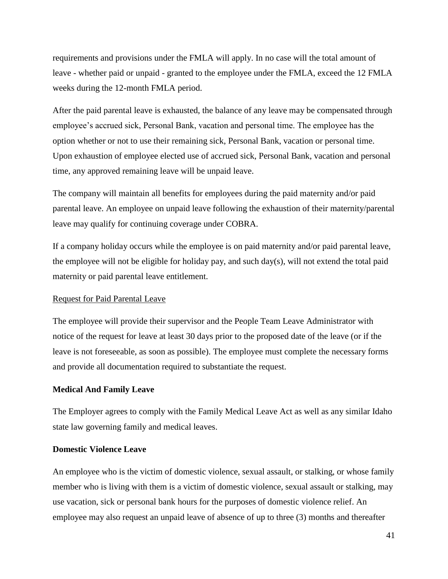requirements and provisions under the FMLA will apply. In no case will the total amount of leave - whether paid or unpaid - granted to the employee under the FMLA, exceed the 12 FMLA weeks during the 12-month FMLA period.

After the paid parental leave is exhausted, the balance of any leave may be compensated through employee's accrued sick, Personal Bank, vacation and personal time. The employee has the option whether or not to use their remaining sick, Personal Bank, vacation or personal time. Upon exhaustion of employee elected use of accrued sick, Personal Bank, vacation and personal time, any approved remaining leave will be unpaid leave.

The company will maintain all benefits for employees during the paid maternity and/or paid parental leave. An employee on unpaid leave following the exhaustion of their maternity/parental leave may qualify for continuing coverage under COBRA.

If a company holiday occurs while the employee is on paid maternity and/or paid parental leave, the employee will not be eligible for holiday pay, and such day(s), will not extend the total paid maternity or paid parental leave entitlement.

## Request for Paid Parental Leave

The employee will provide their supervisor and the People Team Leave Administrator with notice of the request for leave at least 30 days prior to the proposed date of the leave (or if the leave is not foreseeable, as soon as possible). The employee must complete the necessary forms and provide all documentation required to substantiate the request.

#### **Medical And Family Leave**

The Employer agrees to comply with the Family Medical Leave Act as well as any similar Idaho state law governing family and medical leaves.

## **Domestic Violence Leave**

An employee who is the victim of domestic violence, sexual assault, or stalking, or whose family member who is living with them is a victim of domestic violence, sexual assault or stalking, may use vacation, sick or personal bank hours for the purposes of domestic violence relief. An employee may also request an unpaid leave of absence of up to three (3) months and thereafter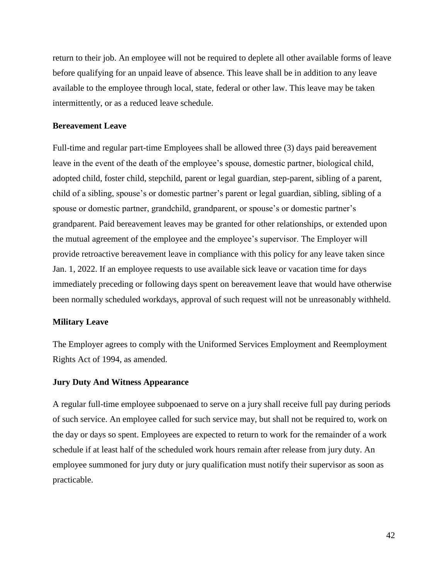return to their job. An employee will not be required to deplete all other available forms of leave before qualifying for an unpaid leave of absence. This leave shall be in addition to any leave available to the employee through local, state, federal or other law. This leave may be taken intermittently, or as a reduced leave schedule.

## **Bereavement Leave**

Full-time and regular part-time Employees shall be allowed three (3) days paid bereavement leave in the event of the death of the employee's spouse, domestic partner, biological child, adopted child, foster child, stepchild, parent or legal guardian, step-parent, sibling of a parent, child of a sibling, spouse's or domestic partner's parent or legal guardian, sibling, sibling of a spouse or domestic partner, grandchild, grandparent, or spouse's or domestic partner's grandparent. Paid bereavement leaves may be granted for other relationships, or extended upon the mutual agreement of the employee and the employee's supervisor. The Employer will provide retroactive bereavement leave in compliance with this policy for any leave taken since Jan. 1, 2022. If an employee requests to use available sick leave or vacation time for days immediately preceding or following days spent on bereavement leave that would have otherwise been normally scheduled workdays, approval of such request will not be unreasonably withheld.

#### **Military Leave**

The Employer agrees to comply with the Uniformed Services Employment and Reemployment Rights Act of 1994, as amended.

#### **Jury Duty And Witness Appearance**

A regular full-time employee subpoenaed to serve on a jury shall receive full pay during periods of such service. An employee called for such service may, but shall not be required to, work on the day or days so spent. Employees are expected to return to work for the remainder of a work schedule if at least half of the scheduled work hours remain after release from jury duty. An employee summoned for jury duty or jury qualification must notify their supervisor as soon as practicable.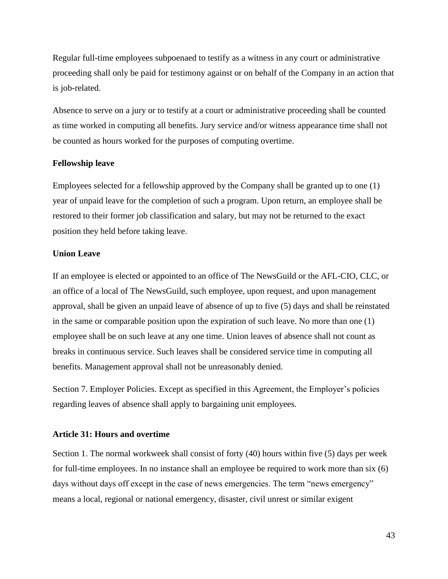<span id="page-42-1"></span>Regular full-time employees subpoenaed to testify as a witness in any court or administrative proceeding shall only be paid for testimony against or on behalf of the Company in an action that is job-related.

Absence to serve on a jury or to testify at a court or administrative proceeding shall be counted as time worked in computing all benefits. Jury service and/or witness appearance time shall not be counted as hours worked for the purposes of computing overtime.

#### **Fellowship leave**

Employees selected for a fellowship approved by the Company shall be granted up to one (1) year of unpaid leave for the completion of such a program. Upon return, an employee shall be restored to their former job classification and salary, but may not be returned to the exact position they held before taking leave.

# **Union Leave**

If an employee is elected or appointed to an office of The NewsGuild or the AFL-CIO, CLC, or an office of a local of The NewsGuild, such employee, upon request, and upon management approval, shall be given an unpaid leave of absence of up to five (5) days and shall be reinstated in the same or comparable position upon the expiration of such leave. No more than one (1) employee shall be on such leave at any one time. Union leaves of absence shall not count as breaks in continuous service. Such leaves shall be considered service time in computing all benefits. Management approval shall not be unreasonably denied.

Section 7. Employer Policies. Except as specified in this Agreement, the Employer's policies regarding leaves of absence shall apply to bargaining unit employees.

# <span id="page-42-0"></span>**Article 31: Hours and overtime**

Section 1. The normal workweek shall consist of forty (40) hours within five (5) days per week for full-time employees. In no instance shall an employee be required to work more than six (6) days without days off except in the case of news emergencies. The term "news emergency" means a local, regional or national emergency, disaster, civil unrest or similar exigent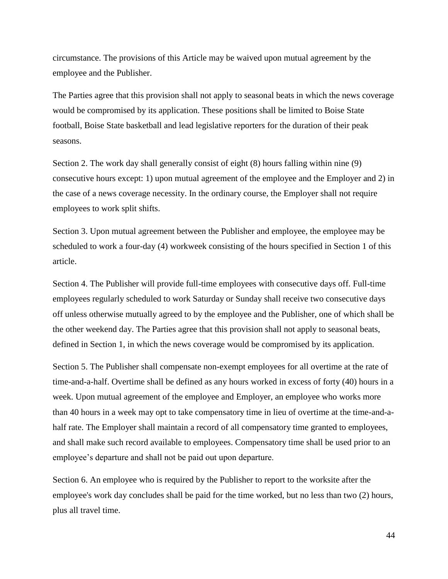circumstance. The provisions of this Article may be waived upon mutual agreement by the employee and the Publisher.

The Parties agree that this provision shall not apply to seasonal beats in which the news coverage would be compromised by its application. These positions shall be limited to Boise State football, Boise State basketball and lead legislative reporters for the duration of their peak seasons.

Section 2. The work day shall generally consist of eight (8) hours falling within nine (9) consecutive hours except: 1) upon mutual agreement of the employee and the Employer and 2) in the case of a news coverage necessity. In the ordinary course, the Employer shall not require employees to work split shifts.

Section 3. Upon mutual agreement between the Publisher and employee, the employee may be scheduled to work a four-day (4) workweek consisting of the hours specified in Section 1 of this article.

Section 4. The Publisher will provide full-time employees with consecutive days off. Full-time employees regularly scheduled to work Saturday or Sunday shall receive two consecutive days off unless otherwise mutually agreed to by the employee and the Publisher, one of which shall be the other weekend day. The Parties agree that this provision shall not apply to seasonal beats, defined in Section 1, in which the news coverage would be compromised by its application.

Section 5. The Publisher shall compensate non-exempt employees for all overtime at the rate of time-and-a-half. Overtime shall be defined as any hours worked in excess of forty (40) hours in a week. Upon mutual agreement of the employee and Employer, an employee who works more than 40 hours in a week may opt to take compensatory time in lieu of overtime at the time-and-ahalf rate. The Employer shall maintain a record of all compensatory time granted to employees, and shall make such record available to employees. Compensatory time shall be used prior to an employee's departure and shall not be paid out upon departure.

Section 6. An employee who is required by the Publisher to report to the worksite after the employee's work day concludes shall be paid for the time worked, but no less than two (2) hours, plus all travel time.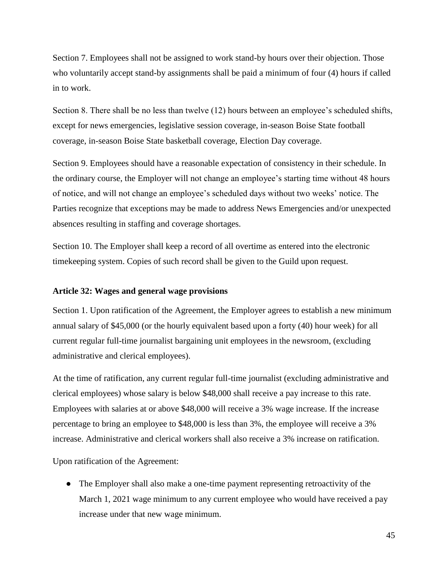<span id="page-44-1"></span>Section 7. Employees shall not be assigned to work stand-by hours over their objection. Those who voluntarily accept stand-by assignments shall be paid a minimum of four (4) hours if called in to work.

Section 8. There shall be no less than twelve (12) hours between an employee's scheduled shifts, except for news emergencies, legislative session coverage, in-season Boise State football coverage, in-season Boise State basketball coverage, Election Day coverage.

Section 9. Employees should have a reasonable expectation of consistency in their schedule. In the ordinary course, the Employer will not change an employee's starting time without 48 hours of notice, and will not change an employee's scheduled days without two weeks' notice. The Parties recognize that exceptions may be made to address News Emergencies and/or unexpected absences resulting in staffing and coverage shortages.

Section 10. The Employer shall keep a record of all overtime as entered into the electronic timekeeping system. Copies of such record shall be given to the Guild upon request.

#### <span id="page-44-0"></span>**Article 32: Wages and general wage provisions**

Section 1. Upon ratification of the Agreement, the Employer agrees to establish a new minimum annual salary of \$45,000 (or the hourly equivalent based upon a forty (40) hour week) for all current regular full-time journalist bargaining unit employees in the newsroom, (excluding administrative and clerical employees).

At the time of ratification, any current regular full-time journalist (excluding administrative and clerical employees) whose salary is below \$48,000 shall receive a pay increase to this rate. Employees with salaries at or above \$48,000 will receive a 3% wage increase. If the increase percentage to bring an employee to \$48,000 is less than 3%, the employee will receive a 3% increase. Administrative and clerical workers shall also receive a 3% increase on ratification.

Upon ratification of the Agreement:

• The Employer shall also make a one-time payment representing retroactivity of the March 1, 2021 wage minimum to any current employee who would have received a pay increase under that new wage minimum.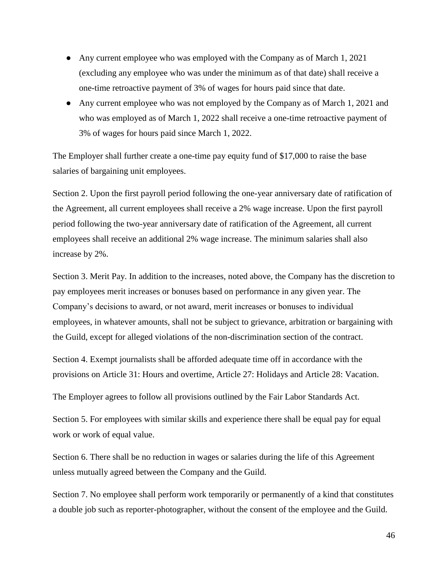- Any current employee who was employed with the Company as of March 1, 2021 (excluding any employee who was under the minimum as of that date) shall receive a one-time retroactive payment of 3% of wages for hours paid since that date.
- Any current employee who was not employed by the Company as of March 1, 2021 and who was employed as of March 1, 2022 shall receive a one-time retroactive payment of 3% of wages for hours paid since March 1, 2022.

The Employer shall further create a one-time pay equity fund of \$17,000 to raise the base salaries of bargaining unit employees.

Section 2. Upon the first payroll period following the one-year anniversary date of ratification of the Agreement, all current employees shall receive a 2% wage increase. Upon the first payroll period following the two-year anniversary date of ratification of the Agreement, all current employees shall receive an additional 2% wage increase. The minimum salaries shall also increase by 2%.

Section 3. Merit Pay. In addition to the increases, noted above, the Company has the discretion to pay employees merit increases or bonuses based on performance in any given year. The Company's decisions to award, or not award, merit increases or bonuses to individual employees, in whatever amounts, shall not be subject to grievance, arbitration or bargaining with the Guild, except for alleged violations of the non-discrimination section of the contract.

Section 4. Exempt journalists shall be afforded adequate time off in accordance with the provisions on Article 31: Hours and overtime, Article 27: Holidays and Article 28: Vacation.

The Employer agrees to follow all provisions outlined by the Fair Labor Standards Act.

Section 5. For employees with similar skills and experience there shall be equal pay for equal work or work of equal value.

Section 6. There shall be no reduction in wages or salaries during the life of this Agreement unless mutually agreed between the Company and the Guild.

Section 7. No employee shall perform work temporarily or permanently of a kind that constitutes a double job such as reporter-photographer, without the consent of the employee and the Guild.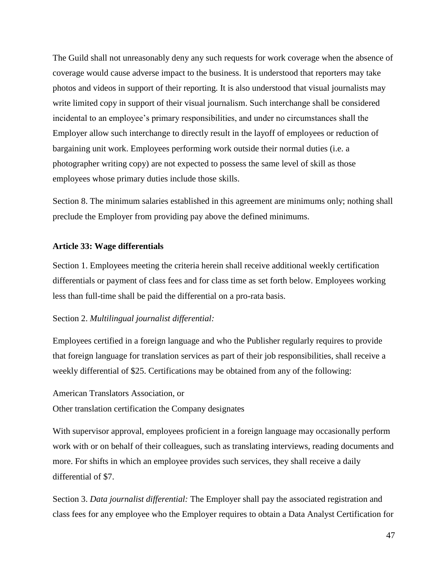<span id="page-46-1"></span>The Guild shall not unreasonably deny any such requests for work coverage when the absence of coverage would cause adverse impact to the business. It is understood that reporters may take photos and videos in support of their reporting. It is also understood that visual journalists may write limited copy in support of their visual journalism. Such interchange shall be considered incidental to an employee's primary responsibilities, and under no circumstances shall the Employer allow such interchange to directly result in the layoff of employees or reduction of bargaining unit work. Employees performing work outside their normal duties (i.e. a photographer writing copy) are not expected to possess the same level of skill as those employees whose primary duties include those skills.

Section 8. The minimum salaries established in this agreement are minimums only; nothing shall preclude the Employer from providing pay above the defined minimums.

# <span id="page-46-0"></span>**Article 33: Wage differentials**

Section 1. Employees meeting the criteria herein shall receive additional weekly certification differentials or payment of class fees and for class time as set forth below. Employees working less than full-time shall be paid the differential on a pro-rata basis.

## Section 2. *Multilingual journalist differential:*

Employees certified in a foreign language and who the Publisher regularly requires to provide that foreign language for translation services as part of their job responsibilities, shall receive a weekly differential of \$25. Certifications may be obtained from any of the following:

American Translators Association, or Other translation certification the Company designates

With supervisor approval, employees proficient in a foreign language may occasionally perform work with or on behalf of their colleagues, such as translating interviews, reading documents and more. For shifts in which an employee provides such services, they shall receive a daily differential of \$7.

Section 3. *Data journalist differential:* The Employer shall pay the associated registration and class fees for any employee who the Employer requires to obtain a Data Analyst Certification for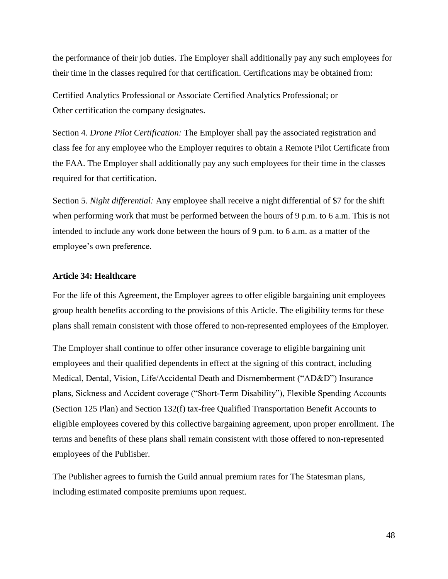<span id="page-47-1"></span>the performance of their job duties. The Employer shall additionally pay any such employees for their time in the classes required for that certification. Certifications may be obtained from:

Certified Analytics Professional or Associate Certified Analytics Professional; or Other certification the company designates.

Section 4. *Drone Pilot Certification:* The Employer shall pay the associated registration and class fee for any employee who the Employer requires to obtain a Remote Pilot Certificate from the FAA. The Employer shall additionally pay any such employees for their time in the classes required for that certification.

Section 5. *Night differential:* Any employee shall receive a night differential of \$7 for the shift when performing work that must be performed between the hours of 9 p.m. to 6 a.m. This is not intended to include any work done between the hours of 9 p.m. to 6 a.m. as a matter of the employee's own preference.

#### <span id="page-47-0"></span>**Article 34: Healthcare**

For the life of this Agreement, the Employer agrees to offer eligible bargaining unit employees group health benefits according to the provisions of this Article. The eligibility terms for these plans shall remain consistent with those offered to non-represented employees of the Employer.

The Employer shall continue to offer other insurance coverage to eligible bargaining unit employees and their qualified dependents in effect at the signing of this contract, including Medical, Dental, Vision, Life/Accidental Death and Dismemberment ("AD&D") Insurance plans, Sickness and Accident coverage ("Short-Term Disability"), Flexible Spending Accounts (Section 125 Plan) and Section 132(f) tax-free Qualified Transportation Benefit Accounts to eligible employees covered by this collective bargaining agreement, upon proper enrollment. The terms and benefits of these plans shall remain consistent with those offered to non-represented employees of the Publisher.

The Publisher agrees to furnish the Guild annual premium rates for The Statesman plans, including estimated composite premiums upon request.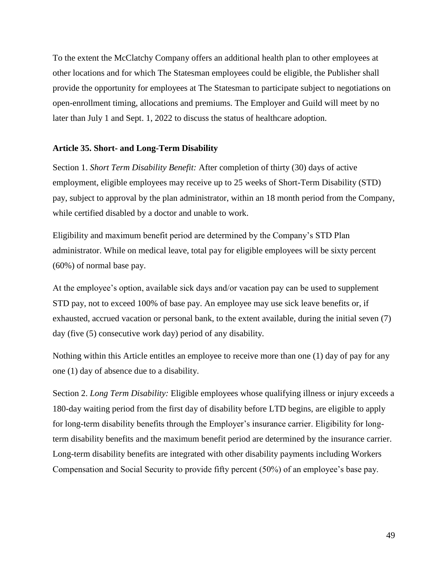<span id="page-48-1"></span>To the extent the McClatchy Company offers an additional health plan to other employees at other locations and for which The Statesman employees could be eligible, the Publisher shall provide the opportunity for employees at The Statesman to participate subject to negotiations on open-enrollment timing, allocations and premiums. The Employer and Guild will meet by no later than July 1 and Sept. 1, 2022 to discuss the status of healthcare adoption.

## <span id="page-48-0"></span>**Article 35. Short- and Long-Term Disability**

Section 1. *Short Term Disability Benefit:* After completion of thirty (30) days of active employment, eligible employees may receive up to 25 weeks of Short-Term Disability (STD) pay, subject to approval by the plan administrator, within an 18 month period from the Company, while certified disabled by a doctor and unable to work.

Eligibility and maximum benefit period are determined by the Company's STD Plan administrator. While on medical leave, total pay for eligible employees will be sixty percent (60%) of normal base pay.

At the employee's option, available sick days and/or vacation pay can be used to supplement STD pay, not to exceed 100% of base pay. An employee may use sick leave benefits or, if exhausted, accrued vacation or personal bank, to the extent available, during the initial seven (7) day (five (5) consecutive work day) period of any disability.

Nothing within this Article entitles an employee to receive more than one (1) day of pay for any one (1) day of absence due to a disability.

Section 2. *Long Term Disability:* Eligible employees whose qualifying illness or injury exceeds a 180-day waiting period from the first day of disability before LTD begins, are eligible to apply for long-term disability benefits through the Employer's insurance carrier. Eligibility for longterm disability benefits and the maximum benefit period are determined by the insurance carrier. Long-term disability benefits are integrated with other disability payments including Workers Compensation and Social Security to provide fifty percent (50%) of an employee's base pay.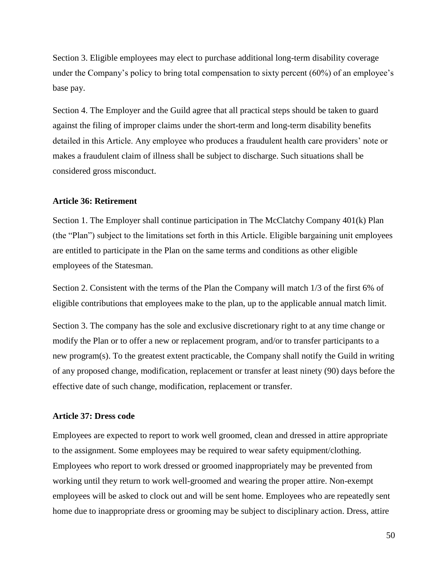<span id="page-49-2"></span>Section 3. Eligible employees may elect to purchase additional long-term disability coverage under the Company's policy to bring total compensation to sixty percent (60%) of an employee's base pay.

Section 4. The Employer and the Guild agree that all practical steps should be taken to guard against the filing of improper claims under the short-term and long-term disability benefits detailed in this Article. Any employee who produces a fraudulent health care providers' note or makes a fraudulent claim of illness shall be subject to discharge. Such situations shall be considered gross misconduct.

#### <span id="page-49-0"></span>**Article 36: Retirement**

Section 1. The Employer shall continue participation in The McClatchy Company 401(k) Plan (the "Plan") subject to the limitations set forth in this Article. Eligible bargaining unit employees are entitled to participate in the Plan on the same terms and conditions as other eligible employees of the Statesman.

Section 2. Consistent with the terms of the Plan the Company will match 1/3 of the first 6% of eligible contributions that employees make to the plan, up to the applicable annual match limit.

Section 3. The company has the sole and exclusive discretionary right to at any time change or modify the Plan or to offer a new or replacement program, and/or to transfer participants to a new program(s). To the greatest extent practicable, the Company shall notify the Guild in writing of any proposed change, modification, replacement or transfer at least ninety (90) days before the effective date of such change, modification, replacement or transfer.

## <span id="page-49-1"></span>**Article 37: Dress code**

Employees are expected to report to work well groomed, clean and dressed in attire appropriate to the assignment. Some employees may be required to wear safety equipment/clothing. Employees who report to work dressed or groomed inappropriately may be prevented from working until they return to work well-groomed and wearing the proper attire. Non-exempt employees will be asked to clock out and will be sent home. Employees who are repeatedly sent home due to inappropriate dress or grooming may be subject to disciplinary action. Dress, attire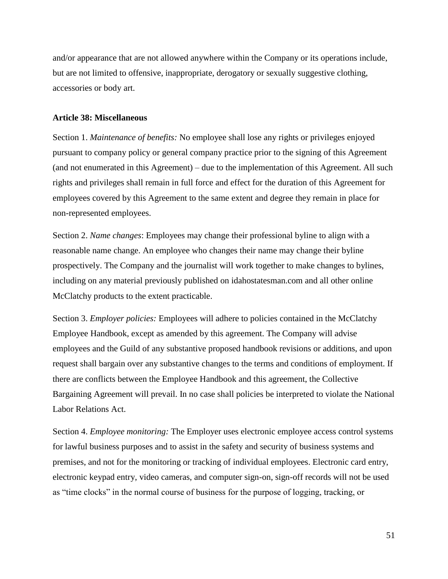<span id="page-50-1"></span>and/or appearance that are not allowed anywhere within the Company or its operations include, but are not limited to offensive, inappropriate, derogatory or sexually suggestive clothing, accessories or body art.

#### <span id="page-50-0"></span>**Article 38: Miscellaneous**

Section 1. *Maintenance of benefits:* No employee shall lose any rights or privileges enjoyed pursuant to company policy or general company practice prior to the signing of this Agreement (and not enumerated in this Agreement) – due to the implementation of this Agreement. All such rights and privileges shall remain in full force and effect for the duration of this Agreement for employees covered by this Agreement to the same extent and degree they remain in place for non-represented employees.

Section 2. *Name changes*: Employees may change their professional byline to align with a reasonable name change. An employee who changes their name may change their byline prospectively. The Company and the journalist will work together to make changes to bylines, including on any material previously published on idahostatesman.com and all other online McClatchy products to the extent practicable.

Section 3. *Employer policies:* Employees will adhere to policies contained in the McClatchy Employee Handbook, except as amended by this agreement. The Company will advise employees and the Guild of any substantive proposed handbook revisions or additions, and upon request shall bargain over any substantive changes to the terms and conditions of employment. If there are conflicts between the Employee Handbook and this agreement, the Collective Bargaining Agreement will prevail. In no case shall policies be interpreted to violate the National Labor Relations Act.

Section 4. *Employee monitoring:* The Employer uses electronic employee access control systems for lawful business purposes and to assist in the safety and security of business systems and premises, and not for the monitoring or tracking of individual employees. Electronic card entry, electronic keypad entry, video cameras, and computer sign-on, sign-off records will not be used as "time clocks" in the normal course of business for the purpose of logging, tracking, or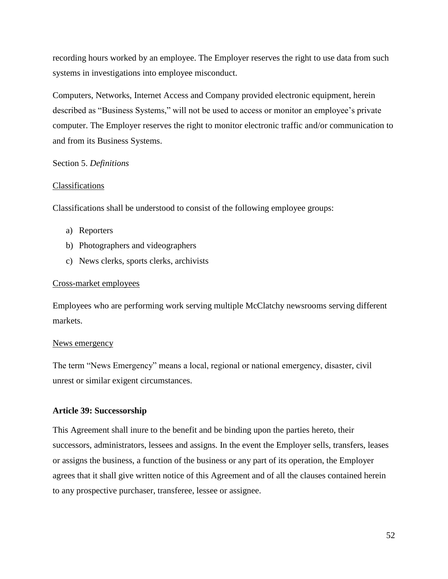<span id="page-51-1"></span>recording hours worked by an employee. The Employer reserves the right to use data from such systems in investigations into employee misconduct.

Computers, Networks, Internet Access and Company provided electronic equipment, herein described as "Business Systems," will not be used to access or monitor an employee's private computer. The Employer reserves the right to monitor electronic traffic and/or communication to and from its Business Systems.

# Section 5. *Definitions*

# Classifications

Classifications shall be understood to consist of the following employee groups:

- a) Reporters
- b) Photographers and videographers
- c) News clerks, sports clerks, archivists

# Cross-market employees

Employees who are performing work serving multiple McClatchy newsrooms serving different markets.

## News emergency

The term "News Emergency" means a local, regional or national emergency, disaster, civil unrest or similar exigent circumstances.

## <span id="page-51-0"></span>**Article 39: Successorship**

This Agreement shall inure to the benefit and be binding upon the parties hereto, their successors, administrators, lessees and assigns. In the event the Employer sells, transfers, leases or assigns the business, a function of the business or any part of its operation, the Employer agrees that it shall give written notice of this Agreement and of all the clauses contained herein to any prospective purchaser, transferee, lessee or assignee.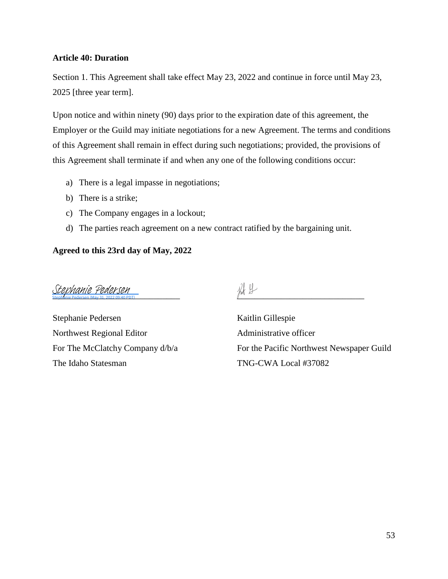# <span id="page-52-1"></span><span id="page-52-0"></span>**Article 40: Duration**

Section 1. This Agreement shall take effect May 23, 2022 and continue in force until May 23, 2025 [three year term].

Upon notice and within ninety (90) days prior to the expiration date of this agreement, the Employer or the Guild may initiate negotiations for a new Agreement. The terms and conditions of this Agreement shall remain in effect during such negotiations; provided, the provisions of this Agreement shall terminate if and when any one of the following conditions occur:

- a) There is a legal impasse in negotiations;
- b) There is a strike;
- c) The Company engages in a lockout;
- d) The parties reach agreement on a new contract ratified by the bargaining unit.

# **Agreed to this 23rd day of May, 2022**

Stephanie Pedersen (May 31, 2022 09:40 PDT)<br>Stephanie Pedersen (May 31, 2022 09:40 PDT)

Stephanie Pedersen Kaitlin Gillespie Northwest Regional Editor **Administrative officer** The Idaho Statesman TNG-CWA Local #37082

For The McClatchy Company  $d/b/a$  For the Pacific Northwest Newspaper Guild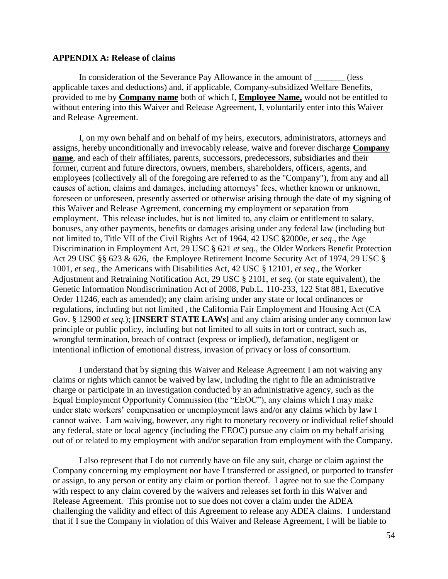#### <span id="page-53-1"></span><span id="page-53-0"></span>**APPENDIX A: Release of claims**

In consideration of the Severance Pay Allowance in the amount of \_\_\_\_\_\_\_ (less applicable taxes and deductions) and, if applicable, Company-subsidized Welfare Benefits, provided to me by **Company name** both of which I, **Employee Name,** would not be entitled to without entering into this Waiver and Release Agreement, I, voluntarily enter into this Waiver and Release Agreement.

I, on my own behalf and on behalf of my heirs, executors, administrators, attorneys and assigns, hereby unconditionally and irrevocably release, waive and forever discharge **Company name***,* and each of their affiliates, parents, successors, predecessors, subsidiaries and their former, current and future directors, owners, members, shareholders, officers, agents, and employees (collectively all of the foregoing are referred to as the "Company"), from any and all causes of action, claims and damages, including attorneys' fees, whether known or unknown, foreseen or unforeseen, presently asserted or otherwise arising through the date of my signing of this Waiver and Release Agreement, concerning my employment or separation from employment. This release includes, but is not limited to, any claim or entitlement to salary, bonuses, any other payments, benefits or damages arising under any federal law (including but not limited to, Title VII of the Civil Rights Act of 1964, 42 USC §2000e, *et seq*., the Age Discrimination in Employment Act, 29 USC § 621 *et seq*., the Older Workers Benefit Protection Act 29 USC §§ 623 & 626, the Employee Retirement Income Security Act of 1974, 29 USC § 1001, *et seq*., the Americans with Disabilities Act, 42 USC § 12101, *et seq*., the Worker Adjustment and Retraining Notification Act, 29 USC § 2101, *et seq*. (or state equivalent), the Genetic Information Nondiscrimination Act of 2008, Pub.L. 110-233, 122 Stat 881, Executive Order 11246, each as amended); any claim arising under any state or local ordinances or regulations, including but not limited , the California Fair Employment and Housing Act (CA Gov. § 12900 *et seq.*); **[INSERT STATE LAWs]** and any claim arising under any common law principle or public policy, including but not limited to all suits in tort or contract, such as, wrongful termination, breach of contract (express or implied), defamation, negligent or intentional infliction of emotional distress, invasion of privacy or loss of consortium.

I understand that by signing this Waiver and Release Agreement I am not waiving any claims or rights which cannot be waived by law, including the right to file an administrative charge or participate in an investigation conducted by an administrative agency, such as the Equal Employment Opportunity Commission (the "EEOC"), any claims which I may make under state workers' compensation or unemployment laws and/or any claims which by law I cannot waive. I am waiving, however, any right to monetary recovery or individual relief should any federal, state or local agency (including the EEOC) pursue any claim on my behalf arising out of or related to my employment with and/or separation from employment with the Company.

I also represent that I do not currently have on file any suit, charge or claim against the Company concerning my employment nor have I transferred or assigned, or purported to transfer or assign, to any person or entity any claim or portion thereof. I agree not to sue the Company with respect to any claim covered by the waivers and releases set forth in this Waiver and Release Agreement. This promise not to sue does not cover a claim under the ADEA challenging the validity and effect of this Agreement to release any ADEA claims. I understand that if I sue the Company in violation of this Waiver and Release Agreement, I will be liable to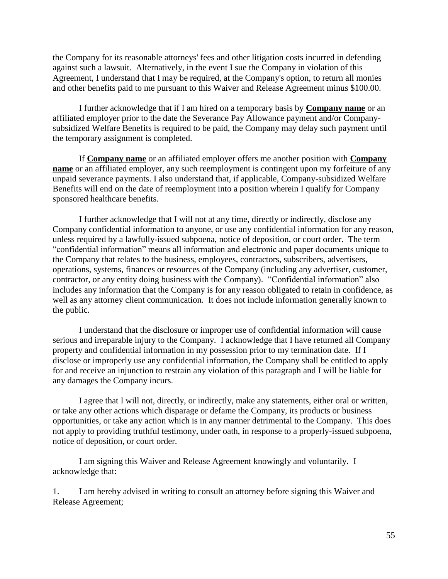the Company for its reasonable attorneys' fees and other litigation costs incurred in defending against such a lawsuit. Alternatively, in the event I sue the Company in violation of this Agreement, I understand that I may be required, at the Company's option, to return all monies and other benefits paid to me pursuant to this Waiver and Release Agreement minus \$100.00.

I further acknowledge that if I am hired on a temporary basis by **Company name** or an affiliated employer prior to the date the Severance Pay Allowance payment and/or Companysubsidized Welfare Benefits is required to be paid, the Company may delay such payment until the temporary assignment is completed.

If **Company name** or an affiliated employer offers me another position with **Company name** or an affiliated employer, any such reemployment is contingent upon my forfeiture of any unpaid severance payments. I also understand that, if applicable, Company-subsidized Welfare Benefits will end on the date of reemployment into a position wherein I qualify for Company sponsored healthcare benefits.

I further acknowledge that I will not at any time, directly or indirectly, disclose any Company confidential information to anyone, or use any confidential information for any reason, unless required by a lawfully-issued subpoena, notice of deposition, or court order. The term "confidential information" means all information and electronic and paper documents unique to the Company that relates to the business, employees, contractors, subscribers, advertisers, operations, systems, finances or resources of the Company (including any advertiser, customer, contractor, or any entity doing business with the Company). "Confidential information" also includes any information that the Company is for any reason obligated to retain in confidence, as well as any attorney client communication. It does not include information generally known to the public.

I understand that the disclosure or improper use of confidential information will cause serious and irreparable injury to the Company. I acknowledge that I have returned all Company property and confidential information in my possession prior to my termination date. If I disclose or improperly use any confidential information, the Company shall be entitled to apply for and receive an injunction to restrain any violation of this paragraph and I will be liable for any damages the Company incurs.

I agree that I will not, directly, or indirectly, make any statements, either oral or written, or take any other actions which disparage or defame the Company, its products or business opportunities, or take any action which is in any manner detrimental to the Company. This does not apply to providing truthful testimony, under oath, in response to a properly-issued subpoena, notice of deposition, or court order.

I am signing this Waiver and Release Agreement knowingly and voluntarily. I acknowledge that:

1. I am hereby advised in writing to consult an attorney before signing this Waiver and Release Agreement;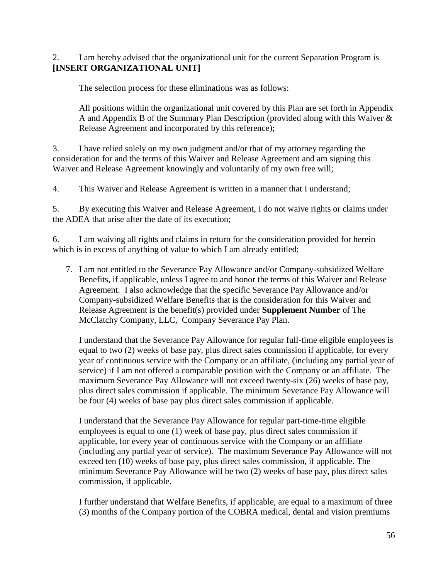# 2. I am hereby advised that the organizational unit for the current Separation Program is **[INSERT ORGANIZATIONAL UNIT]**

The selection process for these eliminations was as follows:

All positions within the organizational unit covered by this Plan are set forth in Appendix A and Appendix B of the Summary Plan Description (provided along with this Waiver & Release Agreement and incorporated by this reference);

3. I have relied solely on my own judgment and/or that of my attorney regarding the consideration for and the terms of this Waiver and Release Agreement and am signing this Waiver and Release Agreement knowingly and voluntarily of my own free will;

4. This Waiver and Release Agreement is written in a manner that I understand;

5. By executing this Waiver and Release Agreement, I do not waive rights or claims under the ADEA that arise after the date of its execution;

6. I am waiving all rights and claims in return for the consideration provided for herein which is in excess of anything of value to which I am already entitled;

7. I am not entitled to the Severance Pay Allowance and/or Company-subsidized Welfare Benefits, if applicable, unless I agree to and honor the terms of this Waiver and Release Agreement. I also acknowledge that the specific Severance Pay Allowance and/or Company-subsidized Welfare Benefits that is the consideration for this Waiver and Release Agreement is the benefit(s) provided under **Supplement Number** of The McClatchy Company, LLC, Company Severance Pay Plan.

I understand that the Severance Pay Allowance for regular full-time eligible employees is equal to two (2) weeks of base pay, plus direct sales commission if applicable, for every year of continuous service with the Company or an affiliate, (including any partial year of service) if I am not offered a comparable position with the Company or an affiliate. The maximum Severance Pay Allowance will not exceed twenty-six (26) weeks of base pay, plus direct sales commission if applicable. The minimum Severance Pay Allowance will be four (4) weeks of base pay plus direct sales commission if applicable.

I understand that the Severance Pay Allowance for regular part-time-time eligible employees is equal to one (1) week of base pay, plus direct sales commission if applicable, for every year of continuous service with the Company or an affiliate (including any partial year of service). The maximum Severance Pay Allowance will not exceed ten (10) weeks of base pay, plus direct sales commission, if applicable. The minimum Severance Pay Allowance will be two (2) weeks of base pay, plus direct sales commission, if applicable.

I further understand that Welfare Benefits, if applicable, are equal to a maximum of three (3) months of the Company portion of the COBRA medical, dental and vision premiums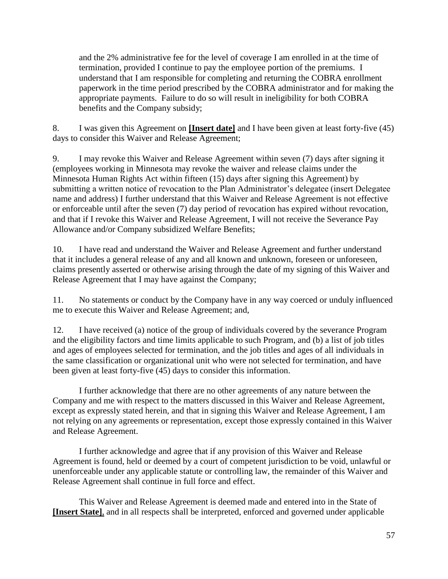and the 2% administrative fee for the level of coverage I am enrolled in at the time of termination, provided I continue to pay the employee portion of the premiums. I understand that I am responsible for completing and returning the COBRA enrollment paperwork in the time period prescribed by the COBRA administrator and for making the appropriate payments. Failure to do so will result in ineligibility for both COBRA benefits and the Company subsidy;

8. I was given this Agreement on **[Insert date]** and I have been given at least forty-five (45) days to consider this Waiver and Release Agreement;

9. I may revoke this Waiver and Release Agreement within seven (7) days after signing it (employees working in Minnesota may revoke the waiver and release claims under the Minnesota Human Rights Act within fifteen (15) days after signing this Agreement) by submitting a written notice of revocation to the Plan Administrator's delegatee (insert Delegatee name and address) I further understand that this Waiver and Release Agreement is not effective or enforceable until after the seven (7) day period of revocation has expired without revocation, and that if I revoke this Waiver and Release Agreement, I will not receive the Severance Pay Allowance and/or Company subsidized Welfare Benefits;

10. I have read and understand the Waiver and Release Agreement and further understand that it includes a general release of any and all known and unknown, foreseen or unforeseen, claims presently asserted or otherwise arising through the date of my signing of this Waiver and Release Agreement that I may have against the Company;

11. No statements or conduct by the Company have in any way coerced or unduly influenced me to execute this Waiver and Release Agreement; and,

12. I have received (a) notice of the group of individuals covered by the severance Program and the eligibility factors and time limits applicable to such Program, and (b) a list of job titles and ages of employees selected for termination, and the job titles and ages of all individuals in the same classification or organizational unit who were not selected for termination, and have been given at least forty-five (45) days to consider this information.

I further acknowledge that there are no other agreements of any nature between the Company and me with respect to the matters discussed in this Waiver and Release Agreement, except as expressly stated herein, and that in signing this Waiver and Release Agreement, I am not relying on any agreements or representation, except those expressly contained in this Waiver and Release Agreement.

I further acknowledge and agree that if any provision of this Waiver and Release Agreement is found, held or deemed by a court of competent jurisdiction to be void, unlawful or unenforceable under any applicable statute or controlling law, the remainder of this Waiver and Release Agreement shall continue in full force and effect.

This Waiver and Release Agreement is deemed made and entered into in the State of **[Insert State]**, and in all respects shall be interpreted, enforced and governed under applicable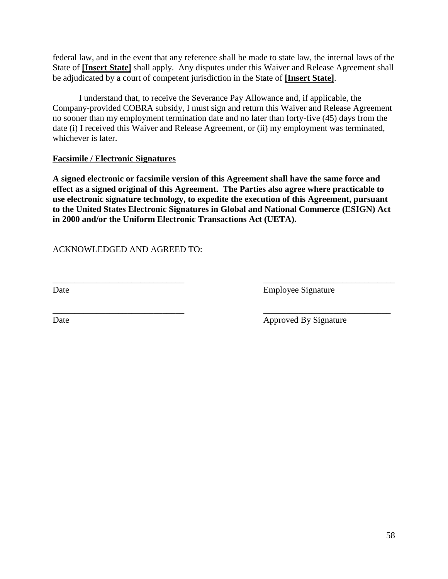federal law, and in the event that any reference shall be made to state law, the internal laws of the State of **[Insert State]** shall apply. Any disputes under this Waiver and Release Agreement shall be adjudicated by a court of competent jurisdiction in the State of **[Insert State]**.

I understand that, to receive the Severance Pay Allowance and, if applicable, the Company-provided COBRA subsidy, I must sign and return this Waiver and Release Agreement no sooner than my employment termination date and no later than forty-five (45) days from the date (i) I received this Waiver and Release Agreement, or (ii) my employment was terminated, whichever is later.

# **Facsimile / Electronic Signatures**

**A signed electronic or facsimile version of this Agreement shall have the same force and effect as a signed original of this Agreement. The Parties also agree where practicable to use electronic signature technology, to expedite the execution of this Agreement, pursuant to the United States Electronic Signatures in Global and National Commerce (ESIGN) Act in 2000 and/or the Uniform Electronic Transactions Act (UETA).**

 $\overline{\phantom{a}}$  , and the contract of the contract of the contract of the contract of the contract of the contract of the contract of the contract of the contract of the contract of the contract of the contract of the contrac

ACKNOWLEDGED AND AGREED TO:

Date Employee Signature

\_\_\_\_\_\_\_\_\_\_\_\_\_\_\_\_\_\_\_\_\_\_\_\_\_\_\_\_\_\_ \_\_\_\_\_\_\_\_\_\_\_\_\_\_\_\_\_\_\_\_\_\_\_\_\_\_\_\_\_ Date Approved By Signature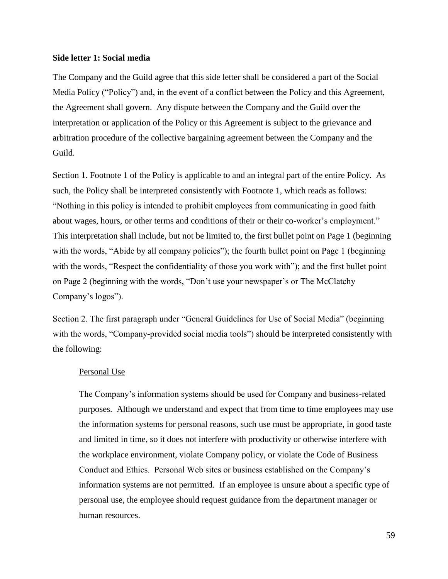#### <span id="page-58-1"></span><span id="page-58-0"></span>**Side letter 1: Social media**

The Company and the Guild agree that this side letter shall be considered a part of the Social Media Policy ("Policy") and, in the event of a conflict between the Policy and this Agreement, the Agreement shall govern. Any dispute between the Company and the Guild over the interpretation or application of the Policy or this Agreement is subject to the grievance and arbitration procedure of the collective bargaining agreement between the Company and the Guild.

Section 1. Footnote 1 of the Policy is applicable to and an integral part of the entire Policy. As such, the Policy shall be interpreted consistently with Footnote 1, which reads as follows: "Nothing in this policy is intended to prohibit employees from communicating in good faith about wages, hours, or other terms and conditions of their or their co-worker's employment." This interpretation shall include, but not be limited to, the first bullet point on Page 1 (beginning with the words, "Abide by all company policies"); the fourth bullet point on Page 1 (beginning with the words, "Respect the confidentiality of those you work with"); and the first bullet point on Page 2 (beginning with the words, "Don't use your newspaper's or The McClatchy Company's logos").

Section 2. The first paragraph under "General Guidelines for Use of Social Media" (beginning with the words, "Company-provided social media tools") should be interpreted consistently with the following:

#### Personal Use

The Company's information systems should be used for Company and business-related purposes. Although we understand and expect that from time to time employees may use the information systems for personal reasons, such use must be appropriate, in good taste and limited in time, so it does not interfere with productivity or otherwise interfere with the workplace environment, violate Company policy, or violate the Code of Business Conduct and Ethics. Personal Web sites or business established on the Company's information systems are not permitted. If an employee is unsure about a specific type of personal use, the employee should request guidance from the department manager or human resources.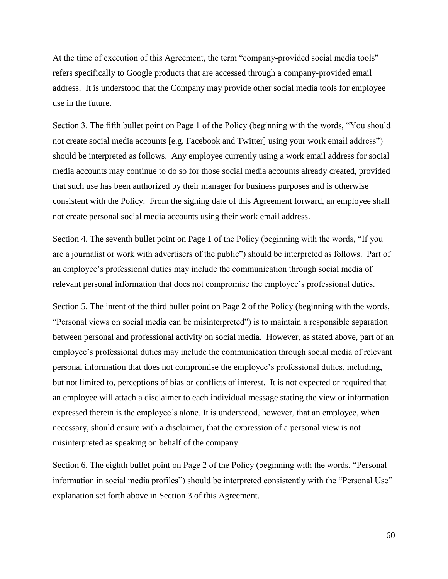At the time of execution of this Agreement, the term "company-provided social media tools" refers specifically to Google products that are accessed through a company-provided email address. It is understood that the Company may provide other social media tools for employee use in the future.

Section 3. The fifth bullet point on Page 1 of the Policy (beginning with the words, "You should not create social media accounts [e.g. Facebook and Twitter] using your work email address") should be interpreted as follows. Any employee currently using a work email address for social media accounts may continue to do so for those social media accounts already created, provided that such use has been authorized by their manager for business purposes and is otherwise consistent with the Policy. From the signing date of this Agreement forward, an employee shall not create personal social media accounts using their work email address.

Section 4. The seventh bullet point on Page 1 of the Policy (beginning with the words, "If you are a journalist or work with advertisers of the public") should be interpreted as follows. Part of an employee's professional duties may include the communication through social media of relevant personal information that does not compromise the employee's professional duties.

Section 5. The intent of the third bullet point on Page 2 of the Policy (beginning with the words, "Personal views on social media can be misinterpreted") is to maintain a responsible separation between personal and professional activity on social media. However, as stated above, part of an employee's professional duties may include the communication through social media of relevant personal information that does not compromise the employee's professional duties, including, but not limited to, perceptions of bias or conflicts of interest. It is not expected or required that an employee will attach a disclaimer to each individual message stating the view or information expressed therein is the employee's alone. It is understood, however, that an employee, when necessary, should ensure with a disclaimer, that the expression of a personal view is not misinterpreted as speaking on behalf of the company.

Section 6. The eighth bullet point on Page 2 of the Policy (beginning with the words, "Personal information in social media profiles") should be interpreted consistently with the "Personal Use" explanation set forth above in Section 3 of this Agreement.